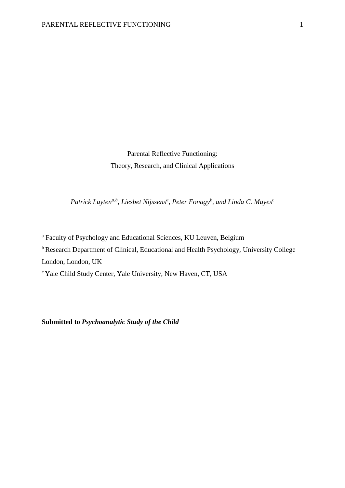Parental Reflective Functioning: Theory, Research, and Clinical Applications

*Patrick Luytena,b, Liesbet Nijssens<sup>a</sup> , Peter Fonagy<sup>b</sup> , and Linda C. Mayes<sup>c</sup>*

<sup>a</sup> Faculty of Psychology and Educational Sciences, KU Leuven, Belgium

<sup>b</sup> Research Department of Clinical, Educational and Health Psychology, University College

London, London, UK

<sup>c</sup>Yale Child Study Center, Yale University, New Haven, CT, USA

**Submitted to** *Psychoanalytic Study of the Child*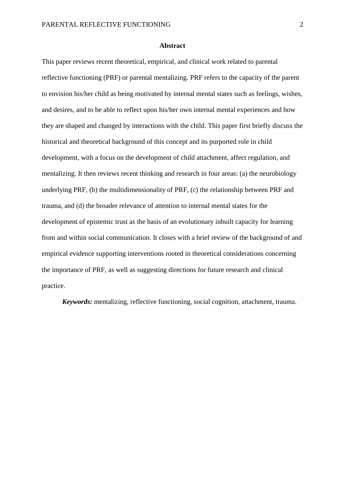#### **Abstract**

This paper reviews recent theoretical, empirical, and clinical work related to parental reflective functioning (PRF) or parental mentalizing. PRF refers to the capacity of the parent to envision his/her child as being motivated by internal mental states such as feelings, wishes, and desires, and to be able to reflect upon his/her own internal mental experiences and how they are shaped and changed by interactions with the child. This paper first briefly discuss the historical and theoretical background of this concept and its purported role in child development, with a focus on the development of child attachment, affect regulation, and mentalizing. It then reviews recent thinking and research in four areas: (a) the neurobiology underlying PRF, (b) the multidimensionality of PRF, (c) the relationship between PRF and trauma, and (d) the broader relevance of attention to internal mental states for the development of epistemic trust as the basis of an evolutionary inbuilt capacity for learning from and within social communication. It closes with a brief review of the background of and empirical evidence supporting interventions rooted in theoretical considerations concerning the importance of PRF, as well as suggesting directions for future research and clinical practice.

*Keywords:* mentalizing, reflective functioning, social cognition, attachment, trauma.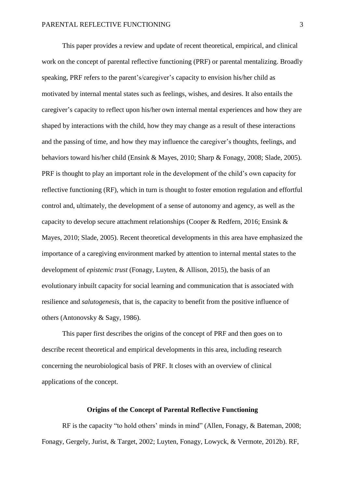This paper provides a review and update of recent theoretical, empirical, and clinical work on the concept of parental reflective functioning (PRF) or parental mentalizing. Broadly speaking, PRF refers to the parent's/caregiver's capacity to envision his/her child as motivated by internal mental states such as feelings, wishes, and desires. It also entails the caregiver's capacity to reflect upon his/her own internal mental experiences and how they are shaped by interactions with the child, how they may change as a result of these interactions and the passing of time, and how they may influence the caregiver's thoughts, feelings, and behaviors toward his/her child [\(Ensink & Mayes, 2010;](#page-35-0) [Sharp & Fonagy, 2008;](#page-45-0) [Slade, 2005\)](#page-46-0). PRF is thought to play an important role in the development of the child's own capacity for reflective functioning (RF), which in turn is thought to foster emotion regulation and effortful control and, ultimately, the development of a sense of autonomy and agency, as well as the capacity to develop secure attachment relationships [\(Cooper & Redfern, 2016;](#page-34-0) [Ensink &](#page-35-0)  [Mayes, 2010;](#page-35-0) [Slade, 2005\)](#page-46-0). Recent theoretical developments in this area have emphasized the importance of a caregiving environment marked by attention to internal mental states to the development of *epistemic trust* [\(Fonagy, Luyten, & Allison, 2015\)](#page-36-0), the basis of an evolutionary inbuilt capacity for social learning and communication that is associated with resilience and *salutogenesis*, that is, the capacity to benefit from the positive influence of others [\(Antonovsky & Sagy, 1986\)](#page-31-0).

This paper first describes the origins of the concept of PRF and then goes on to describe recent theoretical and empirical developments in this area, including research concerning the neurobiological basis of PRF. It closes with an overview of clinical applications of the concept.

### **Origins of the Concept of Parental Reflective Functioning**

RF is the capacity "to hold others' minds in mind" [\(Allen, Fonagy, & Bateman, 2008;](#page-31-1) [Fonagy, Gergely, Jurist, & Target, 2002;](#page-36-1) [Luyten, Fonagy, Lowyck, & Vermote, 2012b\)](#page-40-0). RF,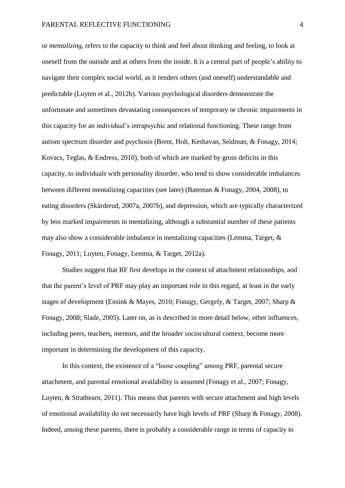or *mentalizing*, refers to the capacity to think and feel about thinking and feeling, to look at oneself from the outside and at others from the inside. It is a central part of people's ability to navigate their complex social world, as it renders others (and oneself) understandable and predictable [\(Luyten et al., 2012b\)](#page-40-0). Various psychological disorders demonstrate the unfortunate and sometimes devastating consequences of temporary or chronic impairments in this capacity for an individual's intrapsychic and relational functioning. These range from autism spectrum disorder and psychosis [\(Brent, Holt, Keshavan, Seidman, & Fonagy, 2014;](#page-33-0) [Kovacs, Teglas, & Endress, 2010\)](#page-39-0), both of which are marked by gross deficits in this capacity, to individuals with personality disorder, who tend to show considerable imbalances between different mentalizing capacities (see later) [\(Bateman & Fonagy, 2004,](#page-32-0) [2008\)](#page-32-1), to eating disorders [\(Skårderud, 2007a,](#page-45-1) [2007b\)](#page-46-1), and depression, which are typically characterized by less marked impairments in mentalizing, although a substantial number of these patients may also show a considerable imbalance in mentalizing capacities [\(Lemma, Target, &](#page-39-1)  [Fonagy, 2011;](#page-39-1) [Luyten, Fonagy, Lemma, & Target, 2012a\)](#page-40-1).

Studies suggest that RF first develops in the context of attachment relationships, and that the parent's level of PRF may play an important role in this regard, at least in the early stages of development [\(Ensink & Mayes, 2010;](#page-35-0) [Fonagy, Gergely, & Target, 2007;](#page-36-2) [Sharp &](#page-45-0)  [Fonagy, 2008;](#page-45-0) [Slade, 2005\)](#page-46-0). Later on, as is described in more detail below, other influences, including peers, teachers, mentors, and the broader sociocultural context, become more important in determining the development of this capacity.

In this context, the existence of a "loose coupling" among PRF, parental secure attachment, and parental emotional availability is assumed [\(Fonagy et al., 2007;](#page-36-2) [Fonagy,](#page-36-3)  [Luyten, & Strathearn, 2011\)](#page-36-3). This means that parents with secure attachment and high levels of emotional availability do not necessarily have high levels of PRF [\(Sharp & Fonagy, 2008\)](#page-45-0). Indeed, among these parents, there is probably a considerable range in terms of capacity to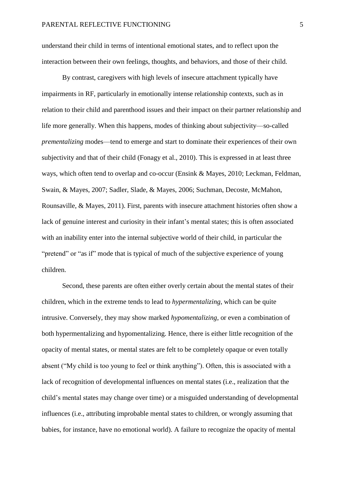understand their child in terms of intentional emotional states, and to reflect upon the interaction between their own feelings, thoughts, and behaviors, and those of their child.

By contrast, caregivers with high levels of insecure attachment typically have impairments in RF, particularly in emotionally intense relationship contexts, such as in relation to their child and parenthood issues and their impact on their partner relationship and life more generally. When this happens, modes of thinking about subjectivity—so-called *prementalizing* modes—tend to emerge and start to dominate their experiences of their own subjectivity and that of their child [\(Fonagy et al., 2010\)](#page-36-4). This is expressed in at least three ways, which often tend to overlap and co-occur [\(Ensink & Mayes, 2010;](#page-35-0) [Leckman, Feldman,](#page-39-2)  [Swain, & Mayes, 2007;](#page-39-2) [Sadler, Slade, & Mayes, 2006;](#page-44-0) [Suchman, Decoste, McMahon,](#page-47-0)  [Rounsaville, & Mayes, 2011\)](#page-47-0). First, parents with insecure attachment histories often show a lack of genuine interest and curiosity in their infant's mental states; this is often associated with an inability enter into the internal subjective world of their child, in particular the "pretend" or "as if" mode that is typical of much of the subjective experience of young children.

Second, these parents are often either overly certain about the mental states of their children, which in the extreme tends to lead to *hypermentalizing*, which can be quite intrusive. Conversely, they may show marked *hypomentalizing*, or even a combination of both hypermentalizing and hypomentalizing. Hence, there is either little recognition of the opacity of mental states, or mental states are felt to be completely opaque or even totally absent ("My child is too young to feel or think anything"). Often, this is associated with a lack of recognition of developmental influences on mental states (i.e., realization that the child's mental states may change over time) or a misguided understanding of developmental influences (i.e., attributing improbable mental states to children, or wrongly assuming that babies, for instance, have no emotional world). A failure to recognize the opacity of mental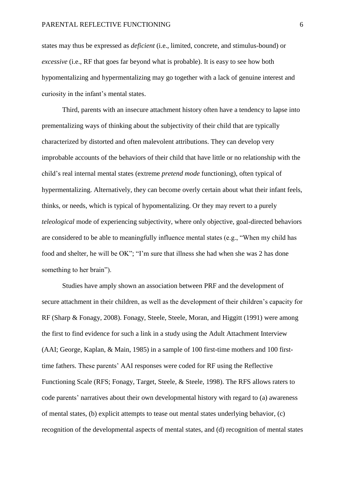states may thus be expressed as *deficient* (i.e., limited, concrete, and stimulus-bound) or *excessive* (i.e., RF that goes far beyond what is probable). It is easy to see how both hypomentalizing and hypermentalizing may go together with a lack of genuine interest and curiosity in the infant's mental states.

Third, parents with an insecure attachment history often have a tendency to lapse into prementalizing ways of thinking about the subjectivity of their child that are typically characterized by distorted and often malevolent attributions. They can develop very improbable accounts of the behaviors of their child that have little or no relationship with the child's real internal mental states (extreme *pretend mode* functioning), often typical of hypermentalizing. Alternatively, they can become overly certain about what their infant feels, thinks, or needs, which is typical of hypomentalizing. Or they may revert to a purely *teleological* mode of experiencing subjectivity, where only objective, goal-directed behaviors are considered to be able to meaningfully influence mental states (e.g., "When my child has food and shelter, he will be OK"; "I'm sure that illness she had when she was 2 has done something to her brain").

Studies have amply shown an association between PRF and the development of secure attachment in their children, as well as the development of their children's capacity for RF [\(Sharp & Fonagy, 2008\)](#page-45-0). [Fonagy, Steele, Steele, Moran, and Higgitt \(1991\)](#page-36-5) were among the first to find evidence for such a link in a study using the Adult Attachment Interview [\(AAI; George, Kaplan, & Main, 1985\)](#page-37-0) in a sample of 100 first-time mothers and 100 firsttime fathers. These parents' AAI responses were coded for RF using the Reflective Functioning Scale [\(RFS; Fonagy, Target, Steele, & Steele, 1998\)](#page-37-1). The RFS allows raters to code parents' narratives about their own developmental history with regard to (a) awareness of mental states, (b) explicit attempts to tease out mental states underlying behavior, (c) recognition of the developmental aspects of mental states, and (d) recognition of mental states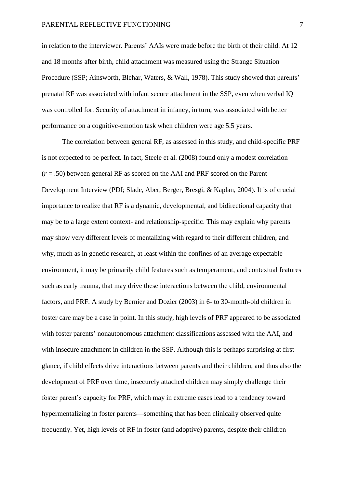in relation to the interviewer. Parents' AAIs were made before the birth of their child. At 12 and 18 months after birth, child attachment was measured using the Strange Situation Procedure [\(SSP; Ainsworth, Blehar, Waters, & Wall, 1978\)](#page-31-2). This study showed that parents' prenatal RF was associated with infant secure attachment in the SSP, even when verbal IQ was controlled for. Security of attachment in infancy, in turn, was associated with better performance on a cognitive-emotion task when children were age 5.5 years.

The correlation between general RF, as assessed in this study, and child-specific PRF is not expected to be perfect. In fact, Steele et al. [\(2008\)](#page-47-1) found only a modest correlation (*r* = .50) between general RF as scored on the AAI and PRF scored on the Parent Development Interview [\(PDI; Slade, Aber, Berger, Bresgi, & Kaplan, 2004\)](#page-46-2). It is of crucial importance to realize that RF is a dynamic, developmental, and bidirectional capacity that may be to a large extent context- and relationship-specific. This may explain why parents may show very different levels of mentalizing with regard to their different children, and why, much as in genetic research, at least within the confines of an average expectable environment, it may be primarily child features such as temperament, and contextual features such as early trauma, that may drive these interactions between the child, environmental factors, and PRF. A study by [Bernier and Dozier \(2003\)](#page-33-1) in 6- to 30-month-old children in foster care may be a case in point. In this study, high levels of PRF appeared to be associated with foster parents' nonautonomous attachment classifications assessed with the AAI, and with insecure attachment in children in the SSP. Although this is perhaps surprising at first glance, if child effects drive interactions between parents and their children, and thus also the development of PRF over time, insecurely attached children may simply challenge their foster parent's capacity for PRF, which may in extreme cases lead to a tendency toward hypermentalizing in foster parents—something that has been clinically observed quite frequently. Yet, high levels of RF in foster (and adoptive) parents, despite their children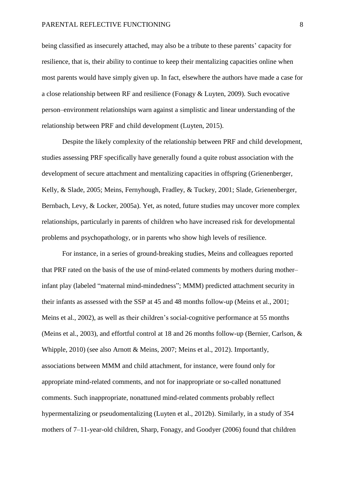being classified as insecurely attached, may also be a tribute to these parents' capacity for resilience, that is, their ability to continue to keep their mentalizing capacities online when most parents would have simply given up. In fact, elsewhere the authors have made a case for a close relationship between RF and resilience [\(Fonagy & Luyten, 2009\)](#page-36-6). Such evocative person–environment relationships warn against a simplistic and linear understanding of the relationship between PRF and child development [\(Luyten, 2015\)](#page-40-2).

Despite the likely complexity of the relationship between PRF and child development, studies assessing PRF specifically have generally found a quite robust association with the development of secure attachment and mentalizing capacities in offspring [\(Grienenberger,](#page-38-0)  [Kelly, & Slade, 2005;](#page-38-0) [Meins, Fernyhough, Fradley, & Tuckey, 2001;](#page-41-0) [Slade, Grienenberger,](#page-46-3)  [Bernbach, Levy, & Locker, 2005a\)](#page-46-3). Yet, as noted, future studies may uncover more complex relationships, particularly in parents of children who have increased risk for developmental problems and psychopathology, or in parents who show high levels of resilience.

For instance, in a series of ground-breaking studies, Meins and colleagues reported that PRF rated on the basis of the use of mind-related comments by mothers during mother– infant play (labeled "maternal mind-mindedness"; MMM) predicted attachment security in their infants as assessed with the SSP at 45 and 48 months follow-up [\(Meins et al., 2001;](#page-41-0) [Meins et al., 2002\)](#page-42-0), as well as their children's social-cognitive performance at 55 months [\(Meins et al., 2003\)](#page-41-1), and effortful control at 18 and 26 months follow-up [\(Bernier, Carlson, &](#page-33-2)  [Whipple, 2010\)](#page-33-2) (see also [Arnott & Meins, 2007;](#page-31-3) [Meins et al., 2012\)](#page-41-2). Importantly, associations between MMM and child attachment, for instance, were found only for appropriate mind-related comments, and not for inappropriate or so-called nonattuned comments. Such inappropriate, nonattuned mind-related comments probably reflect hypermentalizing or pseudomentalizing [\(Luyten et al., 2012b\)](#page-40-0). Similarly, in a study of 354 mothers of 7–11-year-old children, [Sharp, Fonagy, and Goodyer \(2006\)](#page-45-2) found that children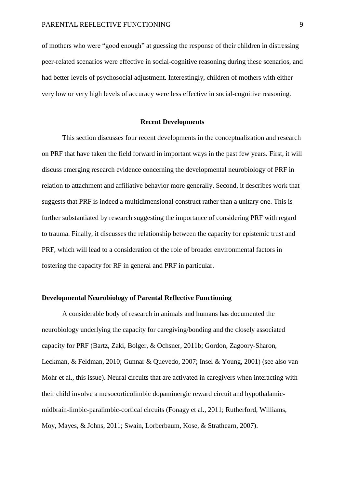of mothers who were "good enough" at guessing the response of their children in distressing peer-related scenarios were effective in social-cognitive reasoning during these scenarios, and had better levels of psychosocial adjustment. Interestingly, children of mothers with either very low or very high levels of accuracy were less effective in social-cognitive reasoning.

### **Recent Developments**

This section discusses four recent developments in the conceptualization and research on PRF that have taken the field forward in important ways in the past few years. First, it will discuss emerging research evidence concerning the developmental neurobiology of PRF in relation to attachment and affiliative behavior more generally. Second, it describes work that suggests that PRF is indeed a multidimensional construct rather than a unitary one. This is further substantiated by research suggesting the importance of considering PRF with regard to trauma. Finally, it discusses the relationship between the capacity for epistemic trust and PRF, which will lead to a consideration of the role of broader environmental factors in fostering the capacity for RF in general and PRF in particular.

## **Developmental Neurobiology of Parental Reflective Functioning**

A considerable body of research in animals and humans has documented the neurobiology underlying the capacity for caregiving/bonding and the closely associated capacity for PRF [\(Bartz, Zaki, Bolger, & Ochsner, 2011b;](#page-32-2) [Gordon, Zagoory-Sharon,](#page-37-2)  [Leckman, & Feldman, 2010;](#page-37-2) [Gunnar & Quevedo, 2007;](#page-38-1) [Insel & Young, 2001\)](#page-38-2) (see also van Mohr et al., this issue). Neural circuits that are activated in caregivers when interacting with their child involve a mesocorticolimbic dopaminergic reward circuit and hypothalamicmidbrain-limbic-paralimbic-cortical circuits [\(Fonagy et al., 2011;](#page-36-3) [Rutherford, Williams,](#page-44-1)  [Moy, Mayes, & Johns, 2011;](#page-44-1) [Swain, Lorberbaum, Kose, & Strathearn, 2007\)](#page-48-0).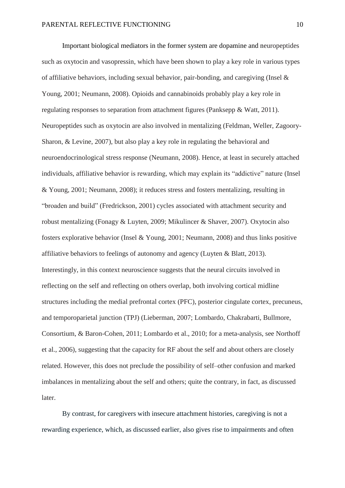Important biological mediators in the former system are dopamine and neuropeptides such as oxytocin and vasopressin, which have been shown to play a key role in various types of affiliative behaviors, including sexual behavior, pair-bonding, and caregiving (Insel  $\&$ [Young, 2001;](#page-38-2) [Neumann, 2008\)](#page-42-1). Opioids and cannabinoids probably play a key role in regulating responses to separation from attachment figures [\(Panksepp & Watt, 2011\)](#page-43-0). Neuropeptides such as oxytocin are also involved in mentalizing [\(Feldman, Weller, Zagoory-](#page-35-1)[Sharon, & Levine, 2007\)](#page-35-1), but also play a key role in regulating the behavioral and neuroendocrinological stress response [\(Neumann, 2008\)](#page-42-1). Hence, at least in securely attached individuals, affiliative behavior is rewarding, which may explain its "addictive" nature [\(Insel](#page-38-2)  [& Young, 2001;](#page-38-2) [Neumann, 2008\)](#page-42-1); it reduces stress and fosters mentalizing, resulting in "broaden and build" [\(Fredrickson, 2001\)](#page-37-3) cycles associated with attachment security and robust mentalizing [\(Fonagy & Luyten, 2009;](#page-36-6) [Mikulincer & Shaver, 2007\)](#page-42-2). Oxytocin also fosters explorative behavior [\(Insel & Young, 2001;](#page-38-2) [Neumann, 2008\)](#page-42-1) and thus links positive affiliative behaviors to feelings of autonomy and agency [\(Luyten & Blatt, 2013\)](#page-40-3). Interestingly, in this context neuroscience suggests that the neural circuits involved in reflecting on the self and reflecting on others overlap, both involving cortical midline structures including the medial prefrontal cortex (PFC), posterior cingulate cortex, precuneus, and temporoparietal junction (TPJ) [\(Lieberman, 2007;](#page-39-3) [Lombardo, Chakrabarti, Bullmore,](#page-39-4)  [Consortium, & Baron-Cohen, 2011;](#page-39-4) [Lombardo et al., 2010;](#page-40-4) [for a meta-analysis, see Northoff](#page-43-1)  [et al., 2006\)](#page-43-1), suggesting that the capacity for RF about the self and about others are closely related. However, this does not preclude the possibility of self–other confusion and marked imbalances in mentalizing about the self and others; quite the contrary, in fact, as discussed later.

By contrast, for caregivers with insecure attachment histories, caregiving is not a rewarding experience, which, as discussed earlier, also gives rise to impairments and often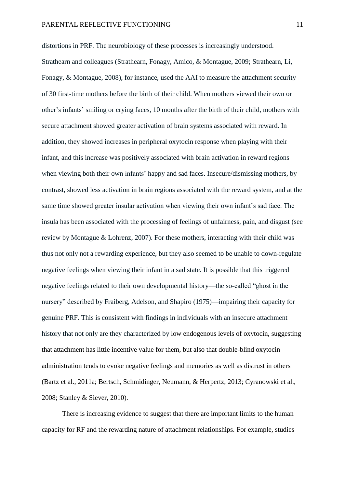distortions in PRF. The neurobiology of these processes is increasingly understood. Strathearn and colleagues [\(Strathearn, Fonagy, Amico, & Montague, 2009;](#page-47-2) [Strathearn, Li,](#page-47-3)  [Fonagy, & Montague, 2008\)](#page-47-3), for instance, used the AAI to measure the attachment security of 30 first-time mothers before the birth of their child. When mothers viewed their own or other's infants' smiling or crying faces, 10 months after the birth of their child, mothers with secure attachment showed greater activation of brain systems associated with reward. In addition, they showed increases in peripheral oxytocin response when playing with their infant, and this increase was positively associated with brain activation in reward regions when viewing both their own infants' happy and sad faces. Insecure/dismissing mothers, by contrast, showed less activation in brain regions associated with the reward system, and at the same time showed greater insular activation when viewing their own infant's sad face. The insula has been associated with the processing of feelings of unfairness, pain, and disgust [\(see](#page-42-3)  [review by Montague & Lohrenz, 2007\)](#page-42-3). For these mothers, interacting with their child was thus not only not a rewarding experience, but they also seemed to be unable to down-regulate negative feelings when viewing their infant in a sad state. It is possible that this triggered negative feelings related to their own developmental history—the so-called "ghost in the nursery" described by [Fraiberg, Adelson, and Shapiro \(1975\)—](#page-37-4)impairing their capacity for genuine PRF. This is consistent with findings in individuals with an insecure attachment history that not only are they characterized by low endogenous levels of oxytocin, suggesting that attachment has little incentive value for them, but also that double-blind oxytocin administration tends to evoke negative feelings and memories as well as distrust in others [\(Bartz et al., 2011a;](#page-32-3) [Bertsch, Schmidinger, Neumann, & Herpertz, 2013;](#page-33-3) [Cyranowski et al.,](#page-34-1)  [2008;](#page-34-1) [Stanley & Siever, 2010\)](#page-47-4).

There is increasing evidence to suggest that there are important limits to the human capacity for RF and the rewarding nature of attachment relationships. For example, studies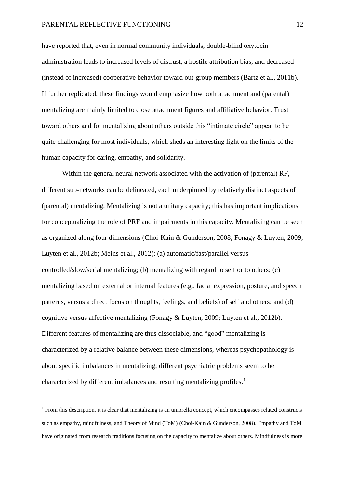have reported that, even in normal community individuals, double-blind oxytocin administration leads to increased levels of distrust, a hostile attribution bias, and decreased (instead of increased) cooperative behavior toward out-group members [\(Bartz et al., 2011b\)](#page-32-2). If further replicated, these findings would emphasize how both attachment and (parental) mentalizing are mainly limited to close attachment figures and affiliative behavior. Trust toward others and for mentalizing about others outside this "intimate circle" appear to be quite challenging for most individuals, which sheds an interesting light on the limits of the human capacity for caring, empathy, and solidarity.

Within the general neural network associated with the activation of (parental) RF, different sub-networks can be delineated, each underpinned by relatively distinct aspects of (parental) mentalizing. Mentalizing is not a unitary capacity; this has important implications for conceptualizing the role of PRF and impairments in this capacity. Mentalizing can be seen as organized along four dimensions [\(Choi-Kain & Gunderson, 2008;](#page-34-2) [Fonagy & Luyten, 2009;](#page-36-6) [Luyten et al., 2012b;](#page-40-0) [Meins et al., 2012\)](#page-41-2): (a) automatic/fast/parallel versus controlled/slow/serial mentalizing; (b) mentalizing with regard to self or to others; (c) mentalizing based on external or internal features (e.g., facial expression, posture, and speech patterns, versus a direct focus on thoughts, feelings, and beliefs) of self and others; and (d) cognitive versus affective mentalizing [\(Fonagy & Luyten, 2009;](#page-36-6) [Luyten et al., 2012b\)](#page-40-0). Different features of mentalizing are thus dissociable, and "good" mentalizing is characterized by a relative balance between these dimensions, whereas psychopathology is about specific imbalances in mentalizing; different psychiatric problems seem to be characterized by different imbalances and resulting mentalizing profiles.<sup>1</sup>

1

 $1$  From this description, it is clear that mentalizing is an umbrella concept, which encompasses related constructs such as empathy, mindfulness, and Theory of Mind (ToM) [\(Choi-Kain & Gunderson, 2008\)](#page-34-2). Empathy and ToM have originated from research traditions focusing on the capacity to mentalize about others. Mindfulness is more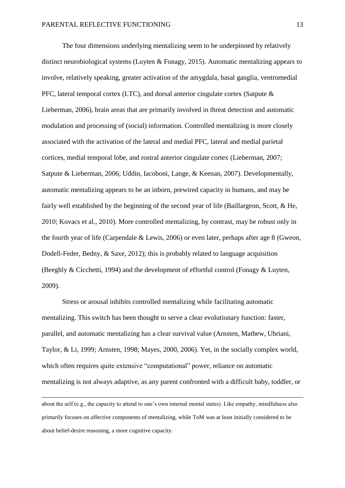The four dimensions underlying mentalizing seem to be underpinned by relatively distinct neurobiological systems [\(Luyten & Fonagy, 2015\)](#page-40-5). Automatic mentalizing appears to involve, relatively speaking, greater activation of the amygdala, basal ganglia, ventromedial PFC, lateral temporal cortex (LTC), and dorsal anterior cingulate cortex [\(Satpute &](#page-44-2)  [Lieberman, 2006\)](#page-44-2), brain areas that are primarily involved in threat detection and automatic modulation and processing of (social) information. Controlled mentalizing is more closely associated with the activation of the lateral and medial PFC, lateral and medial parietal cortices, medial temporal lobe, and rostral anterior cingulate cortex [\(Lieberman, 2007;](#page-39-3) [Satpute & Lieberman, 2006;](#page-44-2) [Uddin, Iacoboni, Lange, & Keenan, 2007\)](#page-48-1). Developmentally, automatic mentalizing appears to be an inborn, prewired capacity in humans, and may be fairly well established by the beginning of the second year of life [\(Baillargeon, Scott, & He,](#page-31-4)  [2010;](#page-31-4) [Kovacs et al., 2010\)](#page-39-0). More controlled mentalizing, by contrast, may be robust only in the fourth year of life [\(Carpendale & Lewis, 2006\)](#page-34-3) or even later, perhaps after age 8 [\(Gweon,](#page-38-3)  [Dodell-Feder, Bedny, & Saxe, 2012\)](#page-38-3); this is probably related to language acquisition [\(Beeghly & Cicchetti, 1994\)](#page-32-4) and the development of effortful control [\(Fonagy & Luyten,](#page-36-6)  [2009\)](#page-36-6).

Stress or arousal inhibits controlled mentalizing while facilitating automatic mentalizing. This switch has been thought to serve a clear evolutionary function: faster, parallel, and automatic mentalizing has a clear survival value [\(Arnsten, Mathew, Ubriani,](#page-31-5)  [Taylor, & Li, 1999;](#page-31-5) [Arnsten, 1998;](#page-31-6) [Mayes, 2000,](#page-41-3) [2006\)](#page-41-4). Yet, in the socially complex world, which often requires quite extensive "computational" power, reliance on automatic mentalizing is not always adaptive, as any parent confronted with a difficult baby, toddler, or

about the self (e.g., the capacity to attend to one's own internal mental states). Like empathy, mindfulness also primarily focuses on affective components of mentalizing, while ToM was at least initially considered to be about belief-desire reasoning, a more cognitive capacity.

**.**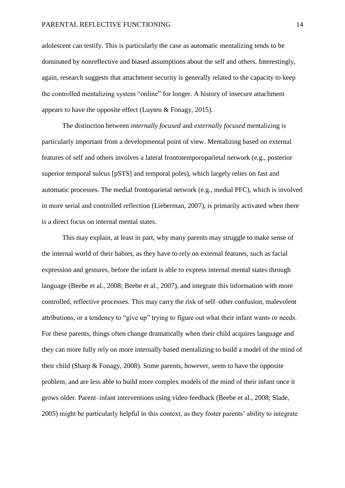adolescent can testify. This is particularly the case as automatic mentalizing tends to be dominated by nonreflective and biased assumptions about the self and others. Interestingly, again, research suggests that attachment security is generally related to the capacity to keep the controlled mentalizing system "online" for longer. A history of insecure attachment appears to have the opposite effect [\(Luyten & Fonagy, 2015\)](#page-40-5).

The distinction between *internally focused* and *externally focused* mentalizing is particularly important from a developmental point of view. Mentalizing based on external features of self and others involves a lateral frontotemporoparietal network (e.g., posterior superior temporal sulcus [pSTS] and temporal poles), which largely relies on fast and automatic processes. The medial frontoparietal network (e.g., medial PFC), which is involved in more serial and controlled reflection [\(Lieberman, 2007\)](#page-39-3), is primarily activated when there is a direct focus on internal mental states.

This may explain, at least in part, why many parents may struggle to make sense of the internal world of their babies, as they have to rely on external features, such as facial expression and gestures, before the infant is able to express internal mental states through language [\(Beebe et al., 2008;](#page-32-5) [Beebe et al., 2007\)](#page-32-6), and integrate this information with more controlled, reflective processes. This may carry the risk of self–other confusion, malevolent attributions, or a tendency to "give up" trying to figure out what their infant wants or needs. For these parents, things often change dramatically when their child acquires language and they can more fully rely on more internally based mentalizing to build a model of the mind of their child [\(Sharp & Fonagy, 2008\)](#page-45-0). Some parents, however, seem to have the opposite problem, and are less able to build more complex models of the mind of their infant once it grows older. Parent–infant interventions using video feedback [\(Beebe et al., 2008;](#page-32-5) [Slade,](#page-46-0)  [2005\)](#page-46-0) might be particularly helpful in this context, as they foster parents' ability to integrate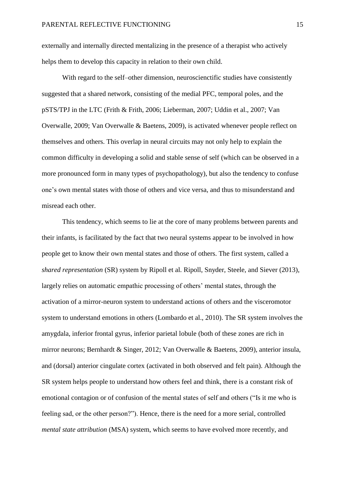externally and internally directed mentalizing in the presence of a therapist who actively helps them to develop this capacity in relation to their own child.

With regard to the self–other dimension, neuroscienctific studies have consistently suggested that a shared network, consisting of the medial PFC, temporal poles, and the pSTS/TPJ in the LTC [\(Frith & Frith, 2006;](#page-37-5) [Lieberman, 2007;](#page-39-3) [Uddin et al., 2007;](#page-48-1) [Van](#page-49-0)  [Overwalle, 2009;](#page-49-0) [Van Overwalle & Baetens, 2009\)](#page-49-1), is activated whenever people reflect on themselves and others. This overlap in neural circuits may not only help to explain the common difficulty in developing a solid and stable sense of self (which can be observed in a more pronounced form in many types of psychopathology), but also the tendency to confuse one's own mental states with those of others and vice versa, and thus to misunderstand and misread each other.

This tendency, which seems to lie at the core of many problems between parents and their infants, is facilitated by the fact that two neural systems appear to be involved in how people get to know their own mental states and those of others. The first system, called a *shared representation* (SR) system by Ripoll et al. [Ripoll, Snyder, Steele, and Siever \(2013\),](#page-43-2) largely relies on automatic empathic processing of others' mental states, through the activation of a mirror-neuron system to understand actions of others and the visceromotor system to understand emotions in others [\(Lombardo et al., 2010\)](#page-40-4). The SR system involves the amygdala, inferior frontal gyrus, inferior parietal lobule (both of these zones are rich in mirror neurons; [Bernhardt & Singer, 2012;](#page-32-7) [Van Overwalle & Baetens, 2009\)](#page-49-1), anterior insula, and (dorsal) anterior cingulate cortex (activated in both observed and felt pain). Although the SR system helps people to understand how others feel and think, there is a constant risk of emotional contagion or of confusion of the mental states of self and others ("Is it me who is feeling sad, or the other person?"). Hence, there is the need for a more serial, controlled *mental state attribution* (MSA) system, which seems to have evolved more recently, and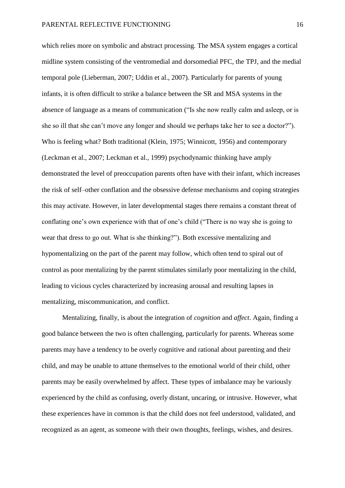which relies more on symbolic and abstract processing. The MSA system engages a cortical midline system consisting of the ventromedial and dorsomedial PFC, the TPJ, and the medial temporal pole [\(Lieberman, 2007;](#page-39-3) [Uddin et al., 2007\)](#page-48-1). Particularly for parents of young infants, it is often difficult to strike a balance between the SR and MSA systems in the absence of language as a means of communication ("Is she now really calm and asleep, or is she so ill that she can't move any longer and should we perhaps take her to see a doctor?"). Who is feeling what? Both traditional [\(Klein, 1975;](#page-39-5) [Winnicott, 1956\)](#page-49-2) and contemporary [\(Leckman et al., 2007;](#page-39-2) [Leckman et al., 1999\)](#page-39-6) psychodynamic thinking have amply demonstrated the level of preoccupation parents often have with their infant, which increases the risk of self–other conflation and the obsessive defense mechanisms and coping strategies this may activate. However, in later developmental stages there remains a constant threat of conflating one's own experience with that of one's child ("There is no way she is going to wear that dress to go out. What is she thinking?"). Both excessive mentalizing and hypomentalizing on the part of the parent may follow, which often tend to spiral out of control as poor mentalizing by the parent stimulates similarly poor mentalizing in the child, leading to vicious cycles characterized by increasing arousal and resulting lapses in mentalizing, miscommunication, and conflict.

Mentalizing, finally, is about the integration of *cognition* and *affect*. Again, finding a good balance between the two is often challenging, particularly for parents. Whereas some parents may have a tendency to be overly cognitive and rational about parenting and their child, and may be unable to attune themselves to the emotional world of their child, other parents may be easily overwhelmed by affect. These types of imbalance may be variously experienced by the child as confusing, overly distant, uncaring, or intrusive. However, what these experiences have in common is that the child does not feel understood, validated, and recognized as an agent, as someone with their own thoughts, feelings, wishes, and desires.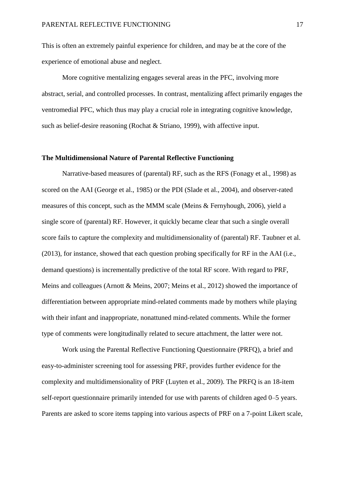This is often an extremely painful experience for children, and may be at the core of the experience of emotional abuse and neglect.

More cognitive mentalizing engages several areas in the PFC, involving more abstract, serial, and controlled processes. In contrast, mentalizing affect primarily engages the ventromedial PFC, which thus may play a crucial role in integrating cognitive knowledge, such as belief-desire reasoning [\(Rochat & Striano, 1999\)](#page-44-3), with affective input.

## **The Multidimensional Nature of Parental Reflective Functioning**

Narrative-based measures of (parental) RF, such as the RFS [\(Fonagy et al., 1998\)](#page-37-1) as scored on the AAI [\(George et al., 1985\)](#page-37-0) or the PDI [\(Slade et al., 2004\)](#page-46-2), and observer-rated measures of this concept, such as the MMM scale [\(Meins & Fernyhough, 2006\)](#page-41-5), yield a single score of (parental) RF. However, it quickly became clear that such a single overall score fails to capture the complexity and multidimensionality of (parental) RF. [Taubner et al.](#page-48-2)  (2013), for instance, showed that each question probing specifically for RF in the AAI (i.e., demand questions) is incrementally predictive of the total RF score. With regard to PRF, Meins and colleagues [\(Arnott & Meins, 2007;](#page-31-3) [Meins et al., 2012\)](#page-41-2) showed the importance of differentiation between appropriate mind-related comments made by mothers while playing with their infant and inappropriate, nonattuned mind-related comments. While the former type of comments were longitudinally related to secure attachment, the latter were not.

Work using the Parental Reflective Functioning Questionnaire (PRFQ), a brief and easy-to-administer screening tool for assessing PRF, provides further evidence for the complexity and multidimensionality of PRF [\(Luyten et al., 2009\)](#page-40-6). The PRFQ is an 18-item self-report questionnaire primarily intended for use with parents of children aged 0–5 years. Parents are asked to score items tapping into various aspects of PRF on a 7-point Likert scale,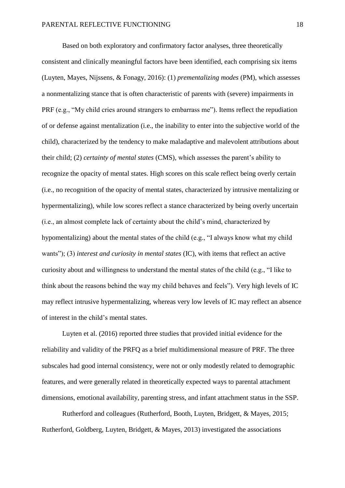Based on both exploratory and confirmatory factor analyses, three theoretically consistent and clinically meaningful factors have been identified, each comprising six items [\(Luyten, Mayes, Nijssens, & Fonagy, 2016\)](#page-40-7): (1) *prementalizing modes* (PM), which assesses a nonmentalizing stance that is often characteristic of parents with (severe) impairments in PRF (e.g., "My child cries around strangers to embarrass me"). Items reflect the repudiation of or defense against mentalization (i.e., the inability to enter into the subjective world of the child), characterized by the tendency to make maladaptive and malevolent attributions about their child; (2) *certainty of mental states* (CMS), which assesses the parent's ability to recognize the opacity of mental states. High scores on this scale reflect being overly certain (i.e., no recognition of the opacity of mental states, characterized by intrusive mentalizing or hypermentalizing), while low scores reflect a stance characterized by being overly uncertain (i.e., an almost complete lack of certainty about the child's mind, characterized by hypomentalizing) about the mental states of the child (e.g., "I always know what my child wants"); (3) *interest and curiosity in mental states* (IC), with items that reflect an active curiosity about and willingness to understand the mental states of the child (e.g., "I like to think about the reasons behind the way my child behaves and feels"). Very high levels of IC may reflect intrusive hypermentalizing, whereas very low levels of IC may reflect an absence of interest in the child's mental states.

[Luyten et al. \(2016\)](#page-40-7) reported three studies that provided initial evidence for the reliability and validity of the PRFQ as a brief multidimensional measure of PRF. The three subscales had good internal consistency, were not or only modestly related to demographic features, and were generally related in theoretically expected ways to parental attachment dimensions, emotional availability, parenting stress, and infant attachment status in the SSP.

Rutherford and colleagues [\(Rutherford, Booth, Luyten, Bridgett, & Mayes, 2015;](#page-44-4) [Rutherford, Goldberg, Luyten, Bridgett, & Mayes, 2013\)](#page-44-5) investigated the associations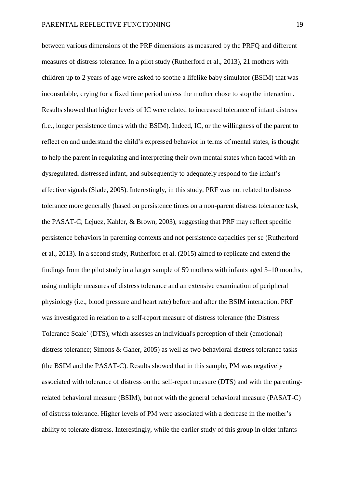between various dimensions of the PRF dimensions as measured by the PRFQ and different measures of distress tolerance. In a pilot study [\(Rutherford et al., 2013\)](#page-44-5), 21 mothers with children up to 2 years of age were asked to soothe a lifelike baby simulator (BSIM) that was inconsolable, crying for a fixed time period unless the mother chose to stop the interaction. Results showed that higher levels of IC were related to increased tolerance of infant distress (i.e., longer persistence times with the BSIM). Indeed, IC, or the willingness of the parent to reflect on and understand the child's expressed behavior in terms of mental states, is thought to help the parent in regulating and interpreting their own mental states when faced with an dysregulated, distressed infant, and subsequently to adequately respond to the infant's affective signals [\(Slade, 2005\)](#page-46-0). Interestingly, in this study, PRF was not related to distress tolerance more generally [\(based on persistence times on a non-parent distress tolerance task,](#page-39-7)  [the PASAT-C; Lejuez, Kahler, & Brown, 2003\)](#page-39-7), suggesting that PRF may reflect specific persistence behaviors in parenting contexts and not persistence capacities per se [\(Rutherford](#page-44-5)  [et al., 2013\)](#page-44-5). In a second study, [Rutherford et al. \(2015\)](#page-44-4) aimed to replicate and extend the findings from the pilot study in a larger sample of 59 mothers with infants aged 3–10 months, using multiple measures of distress tolerance and an extensive examination of peripheral physiology (i.e., blood pressure and heart rate) before and after the BSIM interaction. PRF was investigated in relation to a self-report measure of distress tolerance [\(the Distress](#page-45-3)  [Tolerance Scale` \(DTS\), which assesses an individual's perception of their \(emotional\)](#page-45-3)  [distress tolerance; Simons & Gaher, 2005\)](#page-45-3) as well as two behavioral distress tolerance tasks (the BSIM and the PASAT-C). Results showed that in this sample, PM was negatively associated with tolerance of distress on the self-report measure (DTS) and with the parentingrelated behavioral measure (BSIM), but not with the general behavioral measure (PASAT-C) of distress tolerance. Higher levels of PM were associated with a decrease in the mother's ability to tolerate distress. Interestingly, while the earlier study of this group in older infants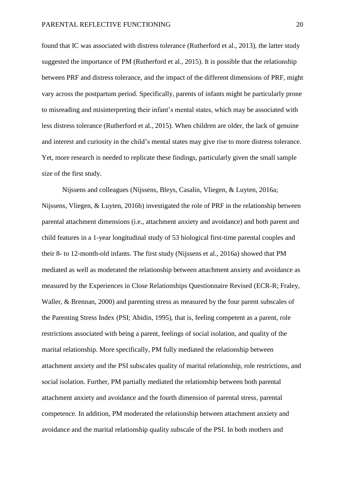found that IC was associated with distress tolerance [\(Rutherford et al., 2013\)](#page-44-5), the latter study suggested the importance of PM [\(Rutherford et al., 2015\)](#page-44-4). It is possible that the relationship between PRF and distress tolerance, and the impact of the different dimensions of PRF, might vary across the postpartum period. Specifically, parents of infants might be particularly prone to misreading and misinterpreting their infant's mental states, which may be associated with less distress tolerance [\(Rutherford et al., 2015\)](#page-44-4). When children are older, the lack of genuine and interest and curiosity in the child's mental states may give rise to more distress tolerance. Yet, more research is needed to replicate these findings, particularly given the small sample size of the first study.

Nijssens and colleagues [\(Nijssens, Bleys, Casalin, Vliegen, & Luyten, 2016a;](#page-42-4) [Nijssens, Vliegen, & Luyten, 2016b\)](#page-42-5) investigated the role of PRF in the relationship between parental attachment dimensions (i.e., attachment anxiety and avoidance) and both parent and child features in a 1-year longitudinal study of 53 biological first-time parental couples and their 8- to 12-month-old infants. The first study [\(Nijssens et al., 2016a\)](#page-42-4) showed that PM mediated as well as moderated the relationship between attachment anxiety and avoidance as measured by the Experiences in Close Relationships Questionnaire Revised [\(ECR-R; Fraley,](#page-37-6)  [Waller, & Brennan, 2000\)](#page-37-6) and parenting stress as measured by the four parent subscales of the Parenting Stress Index [\(PSI; Abidin, 1995\)](#page-31-7), that is, feeling competent as a parent, role restrictions associated with being a parent, feelings of social isolation, and quality of the marital relationship. More specifically, PM fully mediated the relationship between attachment anxiety and the PSI subscales quality of marital relationship, role restrictions, and social isolation. Further, PM partially mediated the relationship between both parental attachment anxiety and avoidance and the fourth dimension of parental stress, parental competence. In addition, PM moderated the relationship between attachment anxiety and avoidance and the marital relationship quality subscale of the PSI. In both mothers and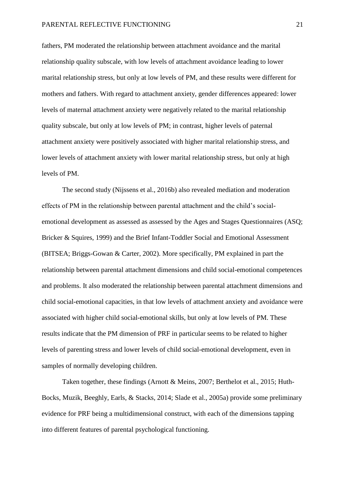fathers, PM moderated the relationship between attachment avoidance and the marital relationship quality subscale, with low levels of attachment avoidance leading to lower marital relationship stress, but only at low levels of PM, and these results were different for mothers and fathers. With regard to attachment anxiety, gender differences appeared: lower levels of maternal attachment anxiety were negatively related to the marital relationship quality subscale, but only at low levels of PM; in contrast, higher levels of paternal attachment anxiety were positively associated with higher marital relationship stress, and lower levels of attachment anxiety with lower marital relationship stress, but only at high levels of PM.

The second study [\(Nijssens et al., 2016b\)](#page-42-5) also revealed mediation and moderation effects of PM in the relationship between parental attachment and the child's socialemotional development as assessed as assessed by the Ages and Stages Questionnaires [\(ASQ;](#page-34-4)  [Bricker & Squires, 1999\)](#page-34-4) and the Brief Infant-Toddler Social and Emotional Assessment [\(BITSEA; Briggs-Gowan & Carter, 2002\)](#page-34-5). More specifically, PM explained in part the relationship between parental attachment dimensions and child social-emotional competences and problems. It also moderated the relationship between parental attachment dimensions and child social-emotional capacities, in that low levels of attachment anxiety and avoidance were associated with higher child social-emotional skills, but only at low levels of PM. These results indicate that the PM dimension of PRF in particular seems to be related to higher levels of parenting stress and lower levels of child social-emotional development, even in samples of normally developing children.

Taken together, these findings [\(Arnott & Meins, 2007;](#page-31-3) [Berthelot et al., 2015;](#page-33-4) [Huth-](#page-38-4)[Bocks, Muzik, Beeghly, Earls, & Stacks, 2014;](#page-38-4) [Slade et al., 2005a\)](#page-46-3) provide some preliminary evidence for PRF being a multidimensional construct, with each of the dimensions tapping into different features of parental psychological functioning.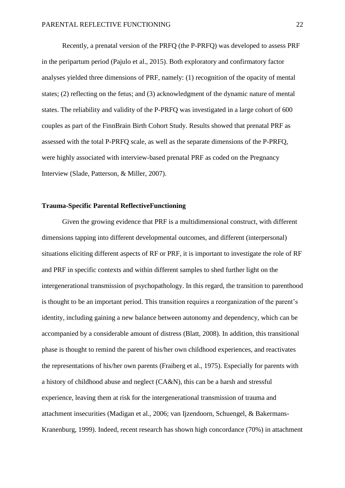Recently, a prenatal version of the PRFQ (the P-PRFQ) was developed to assess PRF in the peripartum period [\(Pajulo et al., 2015\)](#page-43-3). Both exploratory and confirmatory factor analyses yielded three dimensions of PRF, namely: (1) recognition of the opacity of mental states; (2) reflecting on the fetus; and (3) acknowledgment of the dynamic nature of mental states. The reliability and validity of the P-PRFQ was investigated in a large cohort of 600 couples as part of the FinnBrain Birth Cohort Study. Results showed that prenatal PRF as assessed with the total P-PRFQ scale, as well as the separate dimensions of the P-PRFQ, were highly associated with interview-based prenatal PRF as coded on the Pregnancy Interview [\(Slade, Patterson, & Miller, 2007\)](#page-46-4).

# **Trauma-Specific Parental ReflectiveFunctioning**

Given the growing evidence that PRF is a multidimensional construct, with different dimensions tapping into different developmental outcomes, and different (interpersonal) situations eliciting different aspects of RF or PRF, it is important to investigate the role of RF and PRF in specific contexts and within different samples to shed further light on the intergenerational transmission of psychopathology. In this regard, the transition to parenthood is thought to be an important period. This transition requires a reorganization of the parent's identity, including gaining a new balance between autonomy and dependency, which can be accompanied by a considerable amount of distress [\(Blatt, 2008\)](#page-33-5). In addition, this transitional phase is thought to remind the parent of his/her own childhood experiences, and reactivates the representations of his/her own parents [\(Fraiberg et al., 1975\)](#page-37-4). Especially for parents with a history of childhood abuse and neglect (CA&N), this can be a harsh and stressful experience, leaving them at risk for the intergenerational transmission of trauma and attachment insecurities [\(Madigan et al., 2006;](#page-41-6) [van Ijzendoorn, Schuengel, & Bakermans-](#page-48-3)[Kranenburg, 1999\)](#page-48-3). Indeed, recent research has shown high concordance (70%) in attachment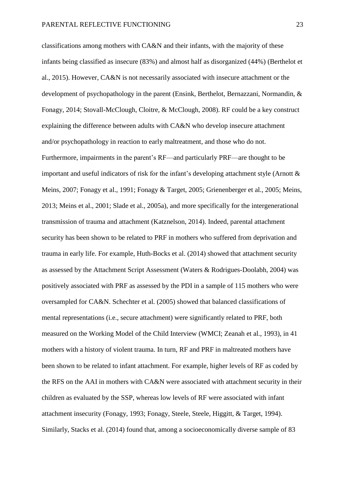classifications among mothers with CA&N and their infants, with the majority of these infants being classified as insecure (83%) and almost half as disorganized (44%) [\(Berthelot et](#page-33-4)  [al., 2015\)](#page-33-4). However, CA&N is not necessarily associated with insecure attachment or the development of psychopathology in the parent [\(Ensink, Berthelot, Bernazzani, Normandin, &](#page-35-2)  [Fonagy, 2014;](#page-35-2) [Stovall-McClough, Cloitre, & McClough, 2008\)](#page-47-5). RF could be a key construct explaining the difference between adults with CA&N who develop insecure attachment and/or psychopathology in reaction to early maltreatment, and those who do not. Furthermore, impairments in the parent's RF—and particularly PRF—are thought to be important and useful indicators of risk for the infant's developing attachment style [\(Arnott &](#page-31-3)  [Meins, 2007;](#page-31-3) [Fonagy et al., 1991;](#page-36-5) [Fonagy & Target, 2005;](#page-37-7) [Grienenberger et al., 2005;](#page-38-0) [Meins,](#page-41-7)  [2013;](#page-41-7) [Meins et al., 2001;](#page-41-0) [Slade et al., 2005a\)](#page-46-3), and more specifically for the intergenerational transmission of trauma and attachment [\(Katznelson, 2014\)](#page-38-5). Indeed, parental attachment security has been shown to be related to PRF in mothers who suffered from deprivation and trauma in early life. For example, [Huth-Bocks et al. \(2014\)](#page-38-4) showed that attachment security as assessed by the Attachment Script Assessment [\(Waters & Rodrigues-Doolabh, 2004\)](#page-49-3) was positively associated with PRF as assessed by the PDI in a sample of 115 mothers who were oversampled for CA&N. [Schechter et al. \(2005\)](#page-44-6) showed that balanced classifications of mental representations (i.e., secure attachment) were significantly related to PRF, both measured on the Working Model of the Child Interview [\(WMCI; Zeanah et al., 1993\)](#page-49-4), in 41 mothers with a history of violent trauma. In turn, RF and PRF in maltreated mothers have been shown to be related to infant attachment. For example, higher levels of RF as coded by the RFS on the AAI in mothers with CA&N were associated with attachment security in their children as evaluated by the SSP, whereas low levels of RF were associated with infant attachment insecurity [\(Fonagy, 1993;](#page-35-3) [Fonagy, Steele, Steele, Higgitt, & Target, 1994\)](#page-36-7). Similarly, [Stacks et al. \(2014\)](#page-47-6) found that, among a socioeconomically diverse sample of 83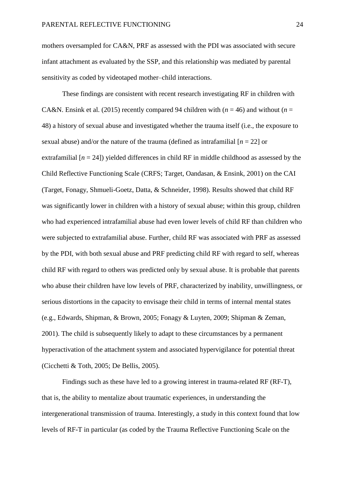mothers oversampled for CA&N, PRF as assessed with the PDI was associated with secure infant attachment as evaluated by the SSP, and this relationship was mediated by parental sensitivity as coded by videotaped mother–child interactions.

These findings are consistent with recent research investigating RF in children with CA&N. [Ensink et al. \(2015\)](#page-35-4) recently compared 94 children with  $(n = 46)$  and without  $(n = 16)$ 48) a history of sexual abuse and investigated whether the trauma itself (i.e., the exposure to sexual abuse) and/or the nature of the trauma (defined as intrafamilial  $[n = 22]$  or extrafamilial  $[n = 24]$ ) yielded differences in child RF in middle childhood as assessed by the Child Reflective Functioning Scale [\(CRFS; Target, Oandasan, & Ensink, 2001\)](#page-48-4) on the CAI [\(Target, Fonagy, Shmueli-Goetz, Datta, & Schneider, 1998\)](#page-48-5). Results showed that child RF was significantly lower in children with a history of sexual abuse; within this group, children who had experienced intrafamilial abuse had even lower levels of child RF than children who were subjected to extrafamilial abuse. Further, child RF was associated with PRF as assessed by the PDI, with both sexual abuse and PRF predicting child RF with regard to self, whereas child RF with regard to others was predicted only by sexual abuse. It is probable that parents who abuse their children have low levels of PRF, characterized by inability, unwillingness, or serious distortions in the capacity to envisage their child in terms of internal mental states (e.g., [Edwards, Shipman, & Brown, 2005;](#page-35-5) [Fonagy & Luyten, 2009;](#page-36-6) [Shipman & Zeman,](#page-45-4)  [2001\)](#page-45-4). The child is subsequently likely to adapt to these circumstances by a permanent hyperactivation of the attachment system and associated hypervigilance for potential threat [\(Cicchetti & Toth, 2005;](#page-34-6) [De Bellis, 2005\)](#page-34-7).

Findings such as these have led to a growing interest in trauma-related RF (RF-T), that is, the ability to mentalize about traumatic experiences, in understanding the intergenerational transmission of trauma. Interestingly, a study in this context found that low levels of RF-T in particular (as coded by the Trauma Reflective Functioning Scale on the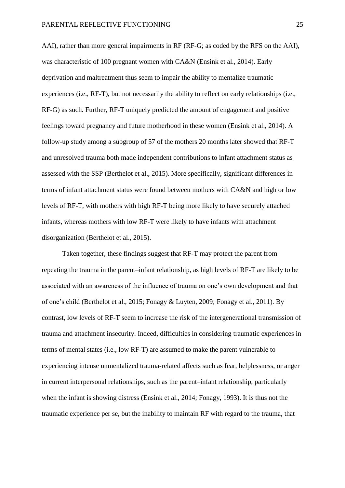AAI), rather than more general impairments in RF (RF-G; as coded by the RFS on the AAI), was characteristic of 100 pregnant women with CA&N [\(Ensink et al., 2014\)](#page-35-2). Early deprivation and maltreatment thus seem to impair the ability to mentalize traumatic experiences (i.e., RF-T), but not necessarily the ability to reflect on early relationships (i.e., RF-G) as such. Further, RF-T uniquely predicted the amount of engagement and positive feelings toward pregnancy and future motherhood in these women [\(Ensink et al., 2014\)](#page-35-2). A follow-up study among a subgroup of 57 of the mothers 20 months later showed that RF-T and unresolved trauma both made independent contributions to infant attachment status as assessed with the SSP [\(Berthelot et al., 2015\)](#page-33-4). More specifically, significant differences in terms of infant attachment status were found between mothers with CA&N and high or low levels of RF-T, with mothers with high RF-T being more likely to have securely attached infants, whereas mothers with low RF-T were likely to have infants with attachment disorganization [\(Berthelot et al., 2015\)](#page-33-4).

Taken together, these findings suggest that RF-T may protect the parent from repeating the trauma in the parent–infant relationship, as high levels of RF-T are likely to be associated with an awareness of the influence of trauma on one's own development and that of one's child [\(Berthelot et al., 2015;](#page-33-4) [Fonagy & Luyten, 2009;](#page-36-6) [Fonagy et al., 2011\)](#page-36-3). By contrast, low levels of RF-T seem to increase the risk of the intergenerational transmission of trauma and attachment insecurity. Indeed, difficulties in considering traumatic experiences in terms of mental states (i.e., low RF-T) are assumed to make the parent vulnerable to experiencing intense unmentalized trauma-related affects such as fear, helplessness, or anger in current interpersonal relationships, such as the parent–infant relationship, particularly when the infant is showing distress [\(Ensink et al., 2014;](#page-35-2) [Fonagy, 1993\)](#page-35-3). It is thus not the traumatic experience per se, but the inability to maintain RF with regard to the trauma, that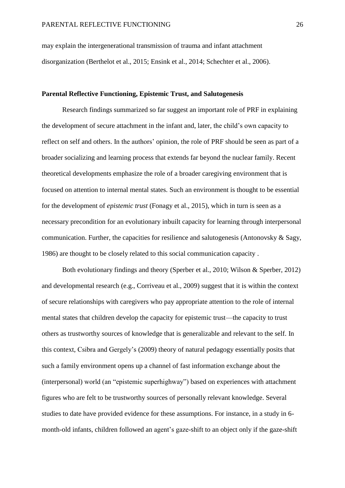may explain the intergenerational transmission of trauma and infant attachment disorganization [\(Berthelot et al., 2015;](#page-33-4) [Ensink et al., 2014;](#page-35-2) [Schechter et al., 2006\)](#page-45-5).

# **Parental Reflective Functioning, Epistemic Trust, and Salutogenesis**

Research findings summarized so far suggest an important role of PRF in explaining the development of secure attachment in the infant and, later, the child's own capacity to reflect on self and others. In the authors' opinion, the role of PRF should be seen as part of a broader socializing and learning process that extends far beyond the nuclear family. Recent theoretical developments emphasize the role of a broader caregiving environment that is focused on attention to internal mental states. Such an environment is thought to be essential for the development of *epistemic trust* [\(Fonagy et al., 2015\)](#page-36-0), which in turn is seen as a necessary precondition for an evolutionary inbuilt capacity for learning through interpersonal communication. Further, the capacities for resilience and salutogenesis [\(Antonovsky & Sagy,](#page-31-0)  [1986\)](#page-31-0) are thought to be closely related to this social communication capacity .

Both evolutionary findings and theory [\(Sperber et al., 2010;](#page-46-5) [Wilson & Sperber, 2012\)](#page-49-5) and developmental research [\(e.g., Corriveau et al., 2009\)](#page-34-8) suggest that it is within the context of secure relationships with caregivers who pay appropriate attention to the role of internal mental states that children develop the capacity for epistemic trust—the capacity to trust others as trustworthy sources of knowledge that is generalizable and relevant to the self. In this context, Csibra and Gergely's [\(2009\)](#page-34-9) theory of natural pedagogy essentially posits that such a family environment opens up a channel of fast information exchange about the (interpersonal) world (an "epistemic superhighway") based on experiences with attachment figures who are felt to be trustworthy sources of personally relevant knowledge. Several studies to date have provided evidence for these assumptions. For instance, in a study in 6 month-old infants, children followed an agent's gaze-shift to an object only if the gaze-shift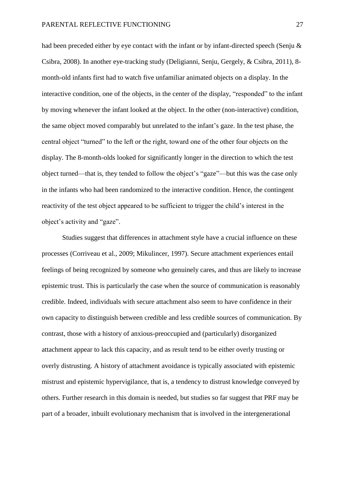had been preceded either by eye contact with the infant or by infant-directed speech (Senju & [Csibra, 2008\)](#page-45-6). In another eye-tracking study [\(Deligianni, Senju, Gergely, & Csibra, 2011\)](#page-35-6), 8 month-old infants first had to watch five unfamiliar animated objects on a display. In the interactive condition, one of the objects, in the center of the display, "responded" to the infant by moving whenever the infant looked at the object. In the other (non-interactive) condition, the same object moved comparably but unrelated to the infant's gaze. In the test phase, the central object "turned" to the left or the right, toward one of the other four objects on the display. The 8-month-olds looked for significantly longer in the direction to which the test object turned—that is, they tended to follow the object's "gaze"—but this was the case only in the infants who had been randomized to the interactive condition. Hence, the contingent reactivity of the test object appeared to be sufficient to trigger the child's interest in the object's activity and "gaze".

Studies suggest that differences in attachment style have a crucial influence on these processes [\(Corriveau et al., 2009;](#page-34-8) [Mikulincer, 1997\)](#page-42-6). Secure attachment experiences entail feelings of being recognized by someone who genuinely cares, and thus are likely to increase epistemic trust. This is particularly the case when the source of communication is reasonably credible. Indeed, individuals with secure attachment also seem to have confidence in their own capacity to distinguish between credible and less credible sources of communication. By contrast, those with a history of anxious-preoccupied and (particularly) disorganized attachment appear to lack this capacity, and as result tend to be either overly trusting or overly distrusting. A history of attachment avoidance is typically associated with epistemic mistrust and epistemic hypervigilance, that is, a tendency to distrust knowledge conveyed by others. Further research in this domain is needed, but studies so far suggest that PRF may be part of a broader, inbuilt evolutionary mechanism that is involved in the intergenerational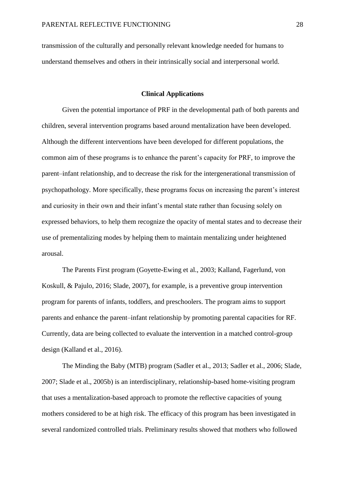transmission of the culturally and personally relevant knowledge needed for humans to understand themselves and others in their intrinsically social and interpersonal world.

# **Clinical Applications**

Given the potential importance of PRF in the developmental path of both parents and children, several intervention programs based around mentalization have been developed. Although the different interventions have been developed for different populations, the common aim of these programs is to enhance the parent's capacity for PRF, to improve the parent–infant relationship, and to decrease the risk for the intergenerational transmission of psychopathology. More specifically, these programs focus on increasing the parent's interest and curiosity in their own and their infant's mental state rather than focusing solely on expressed behaviors, to help them recognize the opacity of mental states and to decrease their use of prementalizing modes by helping them to maintain mentalizing under heightened arousal.

The Parents First program [\(Goyette-Ewing et al., 2003;](#page-38-6) [Kalland, Fagerlund, von](#page-38-7)  [Koskull, & Pajulo, 2016;](#page-38-7) [Slade, 2007\)](#page-46-6), for example, is a preventive group intervention program for parents of infants, toddlers, and preschoolers. The program aims to support parents and enhance the parent–infant relationship by promoting parental capacities for RF. Currently, data are being collected to evaluate the intervention in a matched control-group design [\(Kalland et al., 2016\)](#page-38-7).

The Minding the Baby (MTB) program [\(Sadler et al., 2013;](#page-44-7) [Sadler et al., 2006;](#page-44-0) [Slade,](#page-46-6)  [2007;](#page-46-6) [Slade et al., 2005b\)](#page-46-7) is an interdisciplinary, relationship-based home-visiting program that uses a mentalization-based approach to promote the reflective capacities of young mothers considered to be at high risk. The efficacy of this program has been investigated in several randomized controlled trials. Preliminary results showed that mothers who followed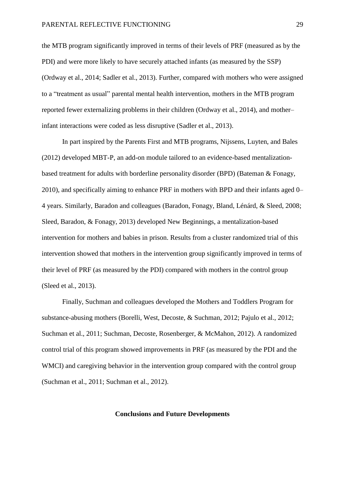the MTB program significantly improved in terms of their levels of PRF (measured as by the PDI) and were more likely to have securely attached infants (as measured by the SSP) [\(Ordway et al., 2014;](#page-43-4) [Sadler et al., 2013\)](#page-44-7). Further, compared with mothers who were assigned to a "treatment as usual" parental mental health intervention, mothers in the MTB program reported fewer externalizing problems in their children [\(Ordway et al., 2014\)](#page-43-4), and mother– infant interactions were coded as less disruptive [\(Sadler et al., 2013\)](#page-44-7).

In part inspired by the Parents First and MTB programs, [Nijssens, Luyten, and Bales](#page-42-7)  (2012) developed MBT-P, an add-on module tailored to an evidence-based mentalizationbased treatment for adults with borderline personality disorder (BPD) [\(Bateman & Fonagy,](#page-32-8)  [2010\)](#page-32-8), and specifically aiming to enhance PRF in mothers with BPD and their infants aged 0– 4 years. Similarly, Baradon and colleagues [\(Baradon, Fonagy, Bland, Lénárd, & Sleed, 2008;](#page-31-8) [Sleed, Baradon, & Fonagy, 2013\)](#page-46-8) developed New Beginnings, a mentalization-based intervention for mothers and babies in prison. Results from a cluster randomized trial of this intervention showed that mothers in the intervention group significantly improved in terms of their level of PRF (as measured by the PDI) compared with mothers in the control group [\(Sleed et al., 2013\)](#page-46-8).

Finally, Suchman and colleagues developed the Mothers and Toddlers Program for substance-abusing mothers [\(Borelli, West, Decoste, & Suchman, 2012;](#page-33-6) [Pajulo et al., 2012;](#page-43-5) [Suchman et al., 2011;](#page-47-0) [Suchman, Decoste, Rosenberger, & McMahon, 2012\)](#page-48-6). A randomized control trial of this program showed improvements in PRF (as measured by the PDI and the WMCI) and caregiving behavior in the intervention group compared with the control group [\(Suchman et al., 2011;](#page-47-0) [Suchman et al., 2012\)](#page-48-6).

## **Conclusions and Future Developments**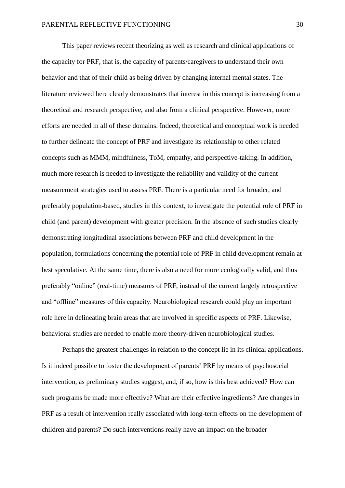This paper reviews recent theorizing as well as research and clinical applications of the capacity for PRF, that is, the capacity of parents/caregivers to understand their own behavior and that of their child as being driven by changing internal mental states. The literature reviewed here clearly demonstrates that interest in this concept is increasing from a theoretical and research perspective, and also from a clinical perspective. However, more efforts are needed in all of these domains. Indeed, theoretical and conceptual work is needed to further delineate the concept of PRF and investigate its relationship to other related concepts such as MMM, mindfulness, ToM, empathy, and perspective-taking. In addition, much more research is needed to investigate the reliability and validity of the current measurement strategies used to assess PRF. There is a particular need for broader, and preferably population-based, studies in this context, to investigate the potential role of PRF in child (and parent) development with greater precision. In the absence of such studies clearly demonstrating longitudinal associations between PRF and child development in the population, formulations concerning the potential role of PRF in child development remain at best speculative. At the same time, there is also a need for more ecologically valid, and thus preferably "online" (real-time) measures of PRF, instead of the current largely retrospective and "offline" measures of this capacity. Neurobiological research could play an important role here in delineating brain areas that are involved in specific aspects of PRF. Likewise, behavioral studies are needed to enable more theory-driven neurobiological studies.

Perhaps the greatest challenges in relation to the concept lie in its clinical applications. Is it indeed possible to foster the development of parents' PRF by means of psychosocial intervention, as preliminary studies suggest, and, if so, how is this best achieved? How can such programs be made more effective? What are their effective ingredients? Are changes in PRF as a result of intervention really associated with long-term effects on the development of children and parents? Do such interventions really have an impact on the broader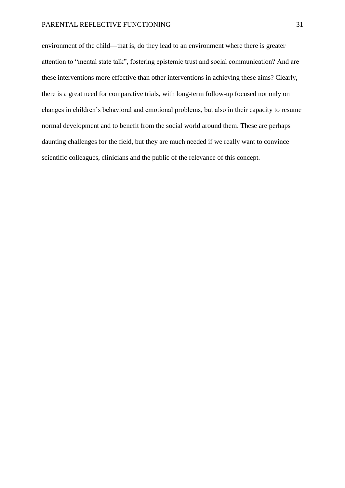environment of the child—that is, do they lead to an environment where there is greater attention to "mental state talk", fostering epistemic trust and social communication? And are these interventions more effective than other interventions in achieving these aims? Clearly, there is a great need for comparative trials, with long-term follow-up focused not only on changes in children's behavioral and emotional problems, but also in their capacity to resume normal development and to benefit from the social world around them. These are perhaps daunting challenges for the field, but they are much needed if we really want to convince scientific colleagues, clinicians and the public of the relevance of this concept.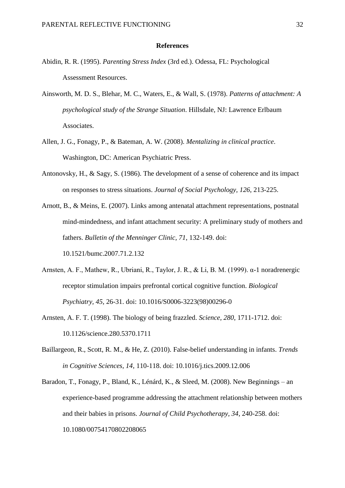### **References**

- <span id="page-31-7"></span>Abidin, R. R. (1995). *Parenting Stress Index* (3rd ed.). Odessa, FL: Psychological Assessment Resources.
- <span id="page-31-2"></span>Ainsworth, M. D. S., Blehar, M. C., Waters, E., & Wall, S. (1978). *Patterns of attachment: A psychological study of the Strange Situation*. Hillsdale, NJ: Lawrence Erlbaum Associates.
- <span id="page-31-1"></span>Allen, J. G., Fonagy, P., & Bateman, A. W. (2008). *Mentalizing in clinical practice*. Washington, DC: American Psychiatric Press.
- <span id="page-31-0"></span>Antonovsky, H., & Sagy, S. (1986). The development of a sense of coherence and its impact on responses to stress situations. *Journal of Social Psychology, 126*, 213-225.
- <span id="page-31-3"></span>Arnott, B., & Meins, E. (2007). Links among antenatal attachment representations, postnatal mind-mindedness, and infant attachment security: A preliminary study of mothers and fathers. *Bulletin of the Menninger Clinic, 71*, 132-149. doi:

10.1521/bumc.2007.71.2.132

- <span id="page-31-5"></span>Arnsten, A. F., Mathew, R., Ubriani, R., Taylor, J. R., & Li, B. M. (1999). α-1 noradrenergic receptor stimulation impairs prefrontal cortical cognitive function. *Biological Psychiatry, 45*, 26-31. doi: 10.1016/S0006-3223(98)00296-0
- <span id="page-31-6"></span>Arnsten, A. F. T. (1998). The biology of being frazzled. *Science, 280*, 1711-1712. doi: 10.1126/science.280.5370.1711
- <span id="page-31-4"></span>Baillargeon, R., Scott, R. M., & He, Z. (2010). False-belief understanding in infants. *Trends in Cognitive Sciences, 14*, 110-118. doi: 10.1016/j.tics.2009.12.006
- <span id="page-31-8"></span>Baradon, T., Fonagy, P., Bland, K., Lénárd, K., & Sleed, M. (2008). New Beginnings – an experience-based programme addressing the attachment relationship between mothers and their babies in prisons. *Journal of Child Psychotherapy, 34*, 240-258. doi: 10.1080/00754170802208065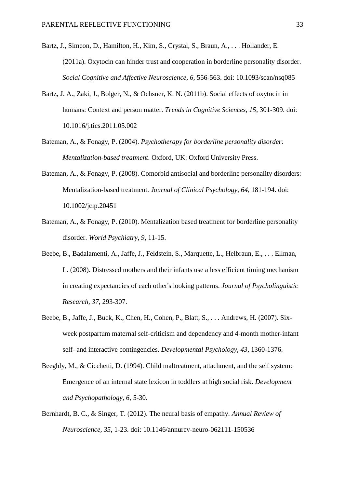- <span id="page-32-3"></span>Bartz, J., Simeon, D., Hamilton, H., Kim, S., Crystal, S., Braun, A., . . . Hollander, E. (2011a). Oxytocin can hinder trust and cooperation in borderline personality disorder. *Social Cognitive and Affective Neuroscience, 6*, 556-563. doi: 10.1093/scan/nsq085
- <span id="page-32-2"></span>Bartz, J. A., Zaki, J., Bolger, N., & Ochsner, K. N. (2011b). Social effects of oxytocin in humans: Context and person matter. *Trends in Cognitive Sciences, 15*, 301-309. doi: 10.1016/j.tics.2011.05.002
- <span id="page-32-0"></span>Bateman, A., & Fonagy, P. (2004). *Psychotherapy for borderline personality disorder: Mentalization-based treatment*. Oxford, UK: Oxford University Press.
- <span id="page-32-1"></span>Bateman, A., & Fonagy, P. (2008). Comorbid antisocial and borderline personality disorders: Mentalization-based treatment. *Journal of Clinical Psychology, 64*, 181-194. doi: 10.1002/jclp.20451
- <span id="page-32-8"></span>Bateman, A., & Fonagy, P. (2010). Mentalization based treatment for borderline personality disorder. *World Psychiatry, 9*, 11-15.
- <span id="page-32-5"></span>Beebe, B., Badalamenti, A., Jaffe, J., Feldstein, S., Marquette, L., Helbraun, E., . . . Ellman, L. (2008). Distressed mothers and their infants use a less efficient timing mechanism in creating expectancies of each other's looking patterns. *Journal of Psycholinguistic Research, 37*, 293-307.
- <span id="page-32-6"></span>Beebe, B., Jaffe, J., Buck, K., Chen, H., Cohen, P., Blatt, S., . . . Andrews, H. (2007). Sixweek postpartum maternal self-criticism and dependency and 4-month mother-infant self- and interactive contingencies. *Developmental Psychology, 43*, 1360-1376.
- <span id="page-32-4"></span>Beeghly, M., & Cicchetti, D. (1994). Child maltreatment, attachment, and the self system: Emergence of an internal state lexicon in toddlers at high social risk. *Development and Psychopathology, 6*, 5-30.
- <span id="page-32-7"></span>Bernhardt, B. C., & Singer, T. (2012). The neural basis of empathy. *Annual Review of Neuroscience, 35*, 1-23. doi: 10.1146/annurev-neuro-062111-150536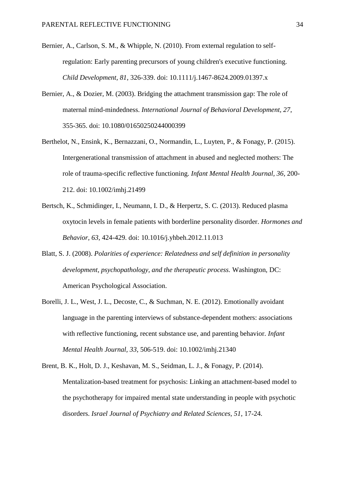- <span id="page-33-2"></span>Bernier, A., Carlson, S. M., & Whipple, N. (2010). From external regulation to selfregulation: Early parenting precursors of young children's executive functioning. *Child Development, 81*, 326-339. doi: 10.1111/j.1467-8624.2009.01397.x
- <span id="page-33-1"></span>Bernier, A., & Dozier, M. (2003). Bridging the attachment transmission gap: The role of maternal mind-mindedness. *International Journal of Behavioral Development, 27*, 355-365. doi: 10.1080/01650250244000399
- <span id="page-33-4"></span>Berthelot, N., Ensink, K., Bernazzani, O., Normandin, L., Luyten, P., & Fonagy, P. (2015). Intergenerational transmission of attachment in abused and neglected mothers: The role of trauma-specific reflective functioning. *Infant Mental Health Journal, 36*, 200- 212. doi: 10.1002/imhj.21499
- <span id="page-33-3"></span>Bertsch, K., Schmidinger, I., Neumann, I. D., & Herpertz, S. C. (2013). Reduced plasma oxytocin levels in female patients with borderline personality disorder. *Hormones and Behavior, 63*, 424-429. doi: 10.1016/j.yhbeh.2012.11.013
- <span id="page-33-5"></span>Blatt, S. J. (2008). *Polarities of experience: Relatedness and self definition in personality development, psychopathology, and the therapeutic process.* Washington, DC: American Psychological Association.
- <span id="page-33-6"></span>Borelli, J. L., West, J. L., Decoste, C., & Suchman, N. E. (2012). Emotionally avoidant language in the parenting interviews of substance-dependent mothers: associations with reflective functioning, recent substance use, and parenting behavior. *Infant Mental Health Journal, 33*, 506-519. doi: 10.1002/imhj.21340
- <span id="page-33-0"></span>Brent, B. K., Holt, D. J., Keshavan, M. S., Seidman, L. J., & Fonagy, P. (2014). Mentalization-based treatment for psychosis: Linking an attachment-based model to the psychotherapy for impaired mental state understanding in people with psychotic disorders. *Israel Journal of Psychiatry and Related Sciences, 51*, 17-24.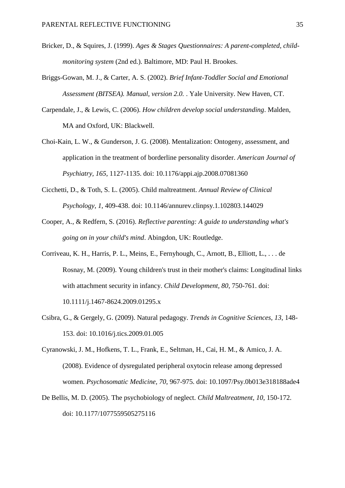- <span id="page-34-4"></span>Bricker, D., & Squires, J. (1999). *Ages & Stages Questionnaires: A parent-completed, childmonitoring system* (2nd ed.). Baltimore, MD: Paul H. Brookes.
- <span id="page-34-5"></span>Briggs-Gowan, M. J., & Carter, A. S. (2002). *Brief Infant-Toddler Social and Emotional Assessment (BITSEA). Manual, version 2.0.* . Yale University. New Haven, CT.
- <span id="page-34-3"></span>Carpendale, J., & Lewis, C. (2006). *How children develop social understanding*. Malden, MA and Oxford, UK: Blackwell.
- <span id="page-34-2"></span>Choi-Kain, L. W., & Gunderson, J. G. (2008). Mentalization: Ontogeny, assessment, and application in the treatment of borderline personality disorder. *American Journal of Psychiatry, 165*, 1127-1135. doi: 10.1176/appi.ajp.2008.07081360
- <span id="page-34-6"></span>Cicchetti, D., & Toth, S. L. (2005). Child maltreatment. *Annual Review of Clinical Psychology, 1*, 409-438. doi: 10.1146/annurev.clinpsy.1.102803.144029
- <span id="page-34-0"></span>Cooper, A., & Redfern, S. (2016). *Reflective parenting: A guide to understanding what's going on in your child's mind*. Abingdon, UK: Routledge.
- <span id="page-34-8"></span>Corriveau, K. H., Harris, P. L., Meins, E., Fernyhough, C., Arnott, B., Elliott, L., . . . de Rosnay, M. (2009). Young children's trust in their mother's claims: Longitudinal links with attachment security in infancy. *Child Development, 80*, 750-761. doi: 10.1111/j.1467-8624.2009.01295.x
- <span id="page-34-9"></span>Csibra, G., & Gergely, G. (2009). Natural pedagogy. *Trends in Cognitive Sciences, 13*, 148- 153. doi: 10.1016/j.tics.2009.01.005
- <span id="page-34-1"></span>Cyranowski, J. M., Hofkens, T. L., Frank, E., Seltman, H., Cai, H. M., & Amico, J. A. (2008). Evidence of dysregulated peripheral oxytocin release among depressed women. *Psychosomatic Medicine, 70*, 967-975. doi: 10.1097/Psy.0b013e318188ade4
- <span id="page-34-7"></span>De Bellis, M. D. (2005). The psychobiology of neglect. *Child Maltreatment, 10*, 150-172. doi: 10.1177/1077559505275116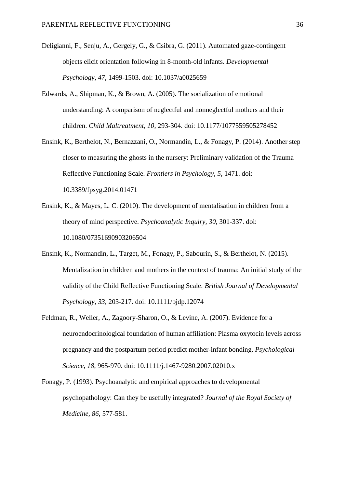- <span id="page-35-6"></span>Deligianni, F., Senju, A., Gergely, G., & Csibra, G. (2011). Automated gaze-contingent objects elicit orientation following in 8-month-old infants. *Developmental Psychology, 47*, 1499-1503. doi: 10.1037/a0025659
- <span id="page-35-5"></span>Edwards, A., Shipman, K., & Brown, A. (2005). The socialization of emotional understanding: A comparison of neglectful and nonneglectful mothers and their children. *Child Maltreatment, 10*, 293-304. doi: 10.1177/1077559505278452
- <span id="page-35-2"></span>Ensink, K., Berthelot, N., Bernazzani, O., Normandin, L., & Fonagy, P. (2014). Another step closer to measuring the ghosts in the nursery: Preliminary validation of the Trauma Reflective Functioning Scale. *Frontiers in Psychology, 5*, 1471. doi: 10.3389/fpsyg.2014.01471
- <span id="page-35-0"></span>Ensink, K., & Mayes, L. C. (2010). The development of mentalisation in children from a theory of mind perspective. *Psychoanalytic Inquiry, 30*, 301-337. doi: 10.1080/07351690903206504
- <span id="page-35-4"></span>Ensink, K., Normandin, L., Target, M., Fonagy, P., Sabourin, S., & Berthelot, N. (2015). Mentalization in children and mothers in the context of trauma: An initial study of the validity of the Child Reflective Functioning Scale. *British Journal of Developmental Psychology, 33*, 203-217. doi: 10.1111/bjdp.12074
- <span id="page-35-1"></span>Feldman, R., Weller, A., Zagoory-Sharon, O., & Levine, A. (2007). Evidence for a neuroendocrinological foundation of human affiliation: Plasma oxytocin levels across pregnancy and the postpartum period predict mother-infant bonding. *Psychological Science, 18*, 965-970. doi: 10.1111/j.1467-9280.2007.02010.x
- <span id="page-35-3"></span>Fonagy, P. (1993). Psychoanalytic and empirical approaches to developmental psychopathology: Can they be usefully integrated? *Journal of the Royal Society of Medicine, 86*, 577-581.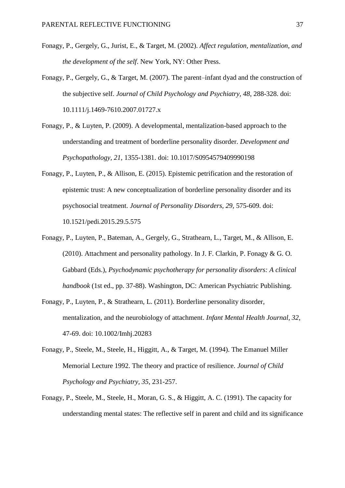- <span id="page-36-1"></span>Fonagy, P., Gergely, G., Jurist, E., & Target, M. (2002). *Affect regulation, mentalization, and the development of the self*. New York, NY: Other Press.
- <span id="page-36-2"></span>Fonagy, P., Gergely, G., & Target, M. (2007). The parent–infant dyad and the construction of the subjective self. *Journal of Child Psychology and Psychiatry, 48*, 288-328. doi: 10.1111/j.1469-7610.2007.01727.x
- <span id="page-36-6"></span>Fonagy, P., & Luyten, P. (2009). A developmental, mentalization-based approach to the understanding and treatment of borderline personality disorder. *Development and Psychopathology, 21*, 1355-1381. doi: 10.1017/S0954579409990198
- <span id="page-36-0"></span>Fonagy, P., Luyten, P., & Allison, E. (2015). Epistemic petrification and the restoration of epistemic trust: A new conceptualization of borderline personality disorder and its psychosocial treatment. *Journal of Personality Disorders, 29*, 575-609. doi: 10.1521/pedi.2015.29.5.575
- <span id="page-36-4"></span>Fonagy, P., Luyten, P., Bateman, A., Gergely, G., Strathearn, L., Target, M., & Allison, E. (2010). Attachment and personality pathology. In J. F. Clarkin, P. Fonagy & G. O. Gabbard (Eds.), *Psychodynamic psychotherapy for personality disorders: A clinical handbook* (1st ed., pp. 37-88). Washington, DC: American Psychiatric Publishing.
- <span id="page-36-3"></span>Fonagy, P., Luyten, P., & Strathearn, L. (2011). Borderline personality disorder, mentalization, and the neurobiology of attachment. *Infant Mental Health Journal, 32*, 47-69. doi: 10.1002/Imhj.20283
- <span id="page-36-7"></span>Fonagy, P., Steele, M., Steele, H., Higgitt, A., & Target, M. (1994). The Emanuel Miller Memorial Lecture 1992. The theory and practice of resilience. *Journal of Child Psychology and Psychiatry, 35*, 231-257.
- <span id="page-36-5"></span>Fonagy, P., Steele, M., Steele, H., Moran, G. S., & Higgitt, A. C. (1991). The capacity for understanding mental states: The reflective self in parent and child and its significance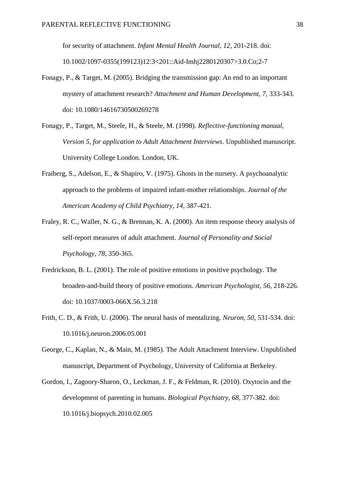for security of attachment. *Infant Mental Health Journal, 12*, 201-218. doi: 10.1002/1097-0355(199123)12:3<201::Aid-Imhj2280120307>3.0.Co;2-7

- <span id="page-37-7"></span>Fonagy, P., & Target, M. (2005). Bridging the transmission gap: An end to an important mystery of attachment research? *Attachment and Human Development, 7*, 333-343. doi: 10.1080/14616730500269278
- <span id="page-37-1"></span>Fonagy, P., Target, M., Steele, H., & Steele, M. (1998). *Reflective-functioning manual, Version 5, for application to Adult Attachment Interviews*. Unpublished manuscript. University College London. London, UK.
- <span id="page-37-4"></span>Fraiberg, S., Adelson, E., & Shapiro, V. (1975). Ghosts in the nursery. A psychoanalytic approach to the problems of impaired infant-mother relationships. *Journal of the American Academy of Child Psychiatry, 14*, 387-421.
- <span id="page-37-6"></span>Fraley, R. C., Waller, N. G., & Brennan, K. A. (2000). An item response theory analysis of self-report measures of adult attachment. *Journal of Personality and Social Psychology, 78*, 350-365.
- <span id="page-37-3"></span>Fredrickson, B. L. (2001). The role of positive emotions in positive psychology. The broaden-and-build theory of positive emotions. *American Psychologist, 56*, 218-226. doi: 10.1037/0003-066X.56.3.218
- <span id="page-37-5"></span>Frith, C. D., & Frith, U. (2006). The neural basis of mentalizing. *Neuron, 50*, 531-534. doi: 10.1016/j.neuron.2006.05.001
- <span id="page-37-0"></span>George, C., Kaplan, N., & Main, M. (1985). The Adult Attachment Interview. Unpublished manuscript, Department of Psychology, University of California at Berkeley.
- <span id="page-37-2"></span>Gordon, I., Zagoory-Sharon, O., Leckman, J. F., & Feldman, R. (2010). Oxytocin and the development of parenting in humans. *Biological Psychiatry, 68*, 377-382. doi: 10.1016/j.biopsych.2010.02.005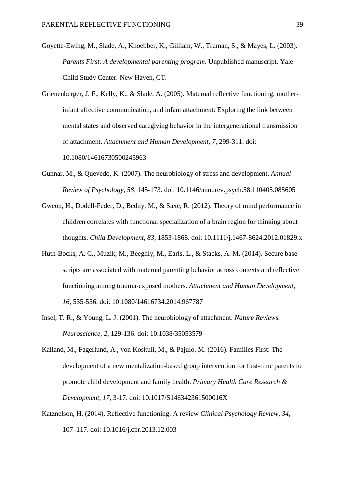- <span id="page-38-6"></span>Goyette-Ewing, M., Slade, A., Knoebber, K., Gilliam, W., Truman, S., & Mayes, L. (2003). *Parents First: A developmental parenting program*. Unpublished manuscript. Yale Child Study Center. New Haven, CT.
- <span id="page-38-0"></span>Grienenberger, J. F., Kelly, K., & Slade, A. (2005). Maternal reflective functioning, motherinfant affective communication, and infant attachment: Exploring the link between mental states and observed caregiving behavior in the intergenerational transmission of attachment. *Attachment and Human Development, 7*, 299-311. doi: 10.1080/14616730500245963
- <span id="page-38-1"></span>Gunnar, M., & Quevedo, K. (2007). The neurobiology of stress and development. *Annual Review of Psychology, 58*, 145-173. doi: 10.1146/annurev.psych.58.110405.085605
- <span id="page-38-3"></span>Gweon, H., Dodell-Feder, D., Bedny, M., & Saxe, R. (2012). Theory of mind performance in children correlates with functional specialization of a brain region for thinking about thoughts. *Child Development, 83*, 1853-1868. doi: 10.1111/j.1467-8624.2012.01829.x
- <span id="page-38-4"></span>Huth-Bocks, A. C., Muzik, M., Beeghly, M., Earls, L., & Stacks, A. M. (2014). Secure base scripts are associated with maternal parenting behavior across contexts and reflective functioning among trauma-exposed mothers. *Attachment and Human Development, 16*, 535-556. doi: 10.1080/14616734.2014.967787
- <span id="page-38-2"></span>Insel, T. R., & Young, L. J. (2001). The neurobiology of attachment. *Nature Reviews. Neuroscience, 2*, 129-136. doi: 10.1038/35053579
- <span id="page-38-7"></span>Kalland, M., Fagerlund, A., von Koskull, M., & Pajulo, M. (2016). Families First: The development of a new mentalization-based group intervention for first-time parents to promote child development and family health. *Primary Health Care Research & Development, 17*, 3-17. doi: 10.1017/S146342361500016X
- <span id="page-38-5"></span>Katznelson, H. (2014). Reflective functioning: A review *Clinical Psychology Review, 34*, 107–117. doi: 10.1016/j.cpr.2013.12.003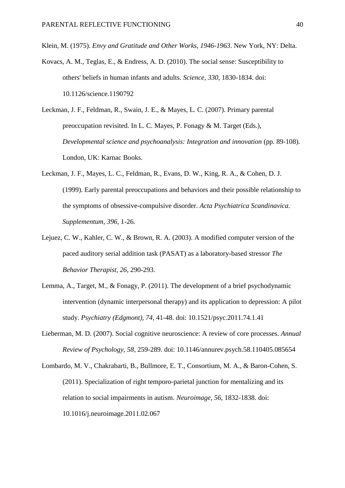<span id="page-39-5"></span>Klein, M. (1975). *Envy and Gratitude and Other Works, 1946-1963*. New York, NY: Delta.

- <span id="page-39-0"></span>Kovacs, A. M., Teglas, E., & Endress, A. D. (2010). The social sense: Susceptibility to others' beliefs in human infants and adults. *Science, 330*, 1830-1834. doi: 10.1126/science.1190792
- <span id="page-39-2"></span>Leckman, J. F., Feldman, R., Swain, J. E., & Mayes, L. C. (2007). Primary parental preoccupation revisited. In L. C. Mayes, P. Fonagy & M. Target (Eds.), *Developmental science and psychoanalysis: Integration and innovation* (pp. 89-108). London, UK: Karnac Books.
- <span id="page-39-6"></span>Leckman, J. F., Mayes, L. C., Feldman, R., Evans, D. W., King, R. A., & Cohen, D. J. (1999). Early parental preoccupations and behaviors and their possible relationship to the symptoms of obsessive-compulsive disorder. *Acta Psychiatrica Scandinavica. Supplementum, 396*, 1-26.
- <span id="page-39-7"></span>Lejuez, C. W., Kahler, C. W., & Brown, R. A. (2003). A modified computer version of the paced auditory serial addition task (PASAT) as a laboratory-based stressor *The Behavior Therapist, 26*, 290-293.
- <span id="page-39-1"></span>Lemma, A., Target, M., & Fonagy, P. (2011). The development of a brief psychodynamic intervention (dynamic interpersonal therapy) and its application to depression: A pilot study. *Psychiatry (Edgmont), 74*, 41-48. doi: 10.1521/psyc.2011.74.1.41
- <span id="page-39-3"></span>Lieberman, M. D. (2007). Social cognitive neuroscience: A review of core processes. *Annual Review of Psychology, 58*, 259-289. doi: 10.1146/annurev.psych.58.110405.085654
- <span id="page-39-4"></span>Lombardo, M. V., Chakrabarti, B., Bullmore, E. T., Consortium, M. A., & Baron-Cohen, S. (2011). Specialization of right temporo-parietal junction for mentalizing and its relation to social impairments in autism. *Neuroimage, 56*, 1832-1838. doi: 10.1016/j.neuroimage.2011.02.067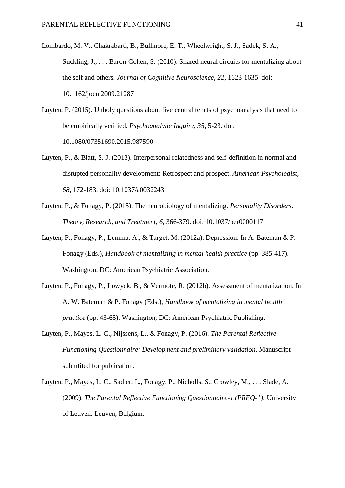- <span id="page-40-4"></span>Lombardo, M. V., Chakrabarti, B., Bullmore, E. T., Wheelwright, S. J., Sadek, S. A., Suckling, J., ... Baron-Cohen, S. (2010). Shared neural circuits for mentalizing about the self and others. *Journal of Cognitive Neuroscience, 22*, 1623-1635. doi: 10.1162/jocn.2009.21287
- <span id="page-40-2"></span>Luyten, P. (2015). Unholy questions about five central tenets of psychoanalysis that need to be empirically verified. *Psychoanalytic Inquiry, 35*, 5-23. doi: 10.1080/07351690.2015.987590
- <span id="page-40-3"></span>Luyten, P., & Blatt, S. J. (2013). Interpersonal relatedness and self-definition in normal and disrupted personality development: Retrospect and prospect. *American Psychologist, 68*, 172-183. doi: 10.1037/a0032243
- <span id="page-40-5"></span>Luyten, P., & Fonagy, P. (2015). The neurobiology of mentalizing. *Personality Disorders: Theory, Research, and Treatment, 6*, 366-379. doi: 10.1037/per0000117
- <span id="page-40-1"></span>Luyten, P., Fonagy, P., Lemma, A., & Target, M. (2012a). Depression. In A. Bateman & P. Fonagy (Eds.), *Handbook of mentalizing in mental health practice* (pp. 385-417). Washington, DC: American Psychiatric Association.
- <span id="page-40-0"></span>Luyten, P., Fonagy, P., Lowyck, B., & Vermote, R. (2012b). Assessment of mentalization. In A. W. Bateman & P. Fonagy (Eds.), *Handbook of mentalizing in mental health practice* (pp. 43-65). Washington, DC: American Psychiatric Publishing.
- <span id="page-40-7"></span>Luyten, P., Mayes, L. C., Nijssens, L., & Fonagy, P. (2016). *The Parental Reflective Functioning Questionnaire: Development and preliminary validation*. Manuscript submtited for publication.
- <span id="page-40-6"></span>Luyten, P., Mayes, L. C., Sadler, L., Fonagy, P., Nicholls, S., Crowley, M., . . . Slade, A. (2009). *The Parental Reflective Functioning Questionnaire-1 (PRFQ-1)*. University of Leuven. Leuven, Belgium.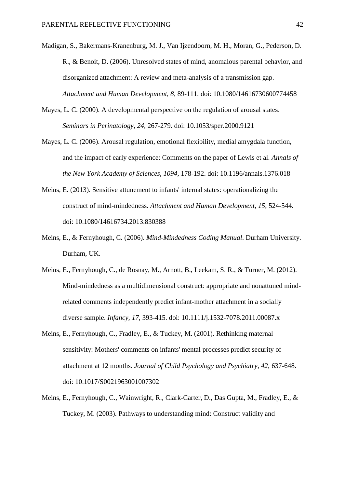<span id="page-41-6"></span>Madigan, S., Bakermans-Kranenburg, M. J., Van Ijzendoorn, M. H., Moran, G., Pederson, D. R., & Benoit, D. (2006). Unresolved states of mind, anomalous parental behavior, and disorganized attachment: A review and meta-analysis of a transmission gap. *Attachment and Human Development, 8*, 89-111. doi: 10.1080/14616730600774458

- <span id="page-41-3"></span>Mayes, L. C. (2000). A developmental perspective on the regulation of arousal states. *Seminars in Perinatology, 24*, 267-279. doi: 10.1053/sper.2000.9121
- <span id="page-41-4"></span>Mayes, L. C. (2006). Arousal regulation, emotional flexibility, medial amygdala function, and the impact of early experience: Comments on the paper of Lewis et al. *Annals of the New York Academy of Sciences, 1094*, 178-192. doi: 10.1196/annals.1376.018
- <span id="page-41-7"></span>Meins, E. (2013). Sensitive attunement to infants' internal states: operationalizing the construct of mind-mindedness. *Attachment and Human Development, 15*, 524-544. doi: 10.1080/14616734.2013.830388
- <span id="page-41-5"></span>Meins, E., & Fernyhough, C. (2006). *Mind-Mindedness Coding Manual*. Durham University. Durham, UK.
- <span id="page-41-2"></span>Meins, E., Fernyhough, C., de Rosnay, M., Arnott, B., Leekam, S. R., & Turner, M. (2012). Mind-mindedness as a multidimensional construct: appropriate and nonattuned mindrelated comments independently predict infant-mother attachment in a socially diverse sample. *Infancy, 17*, 393-415. doi: 10.1111/j.1532-7078.2011.00087.x
- <span id="page-41-0"></span>Meins, E., Fernyhough, C., Fradley, E., & Tuckey, M. (2001). Rethinking maternal sensitivity: Mothers' comments on infants' mental processes predict security of attachment at 12 months. *Journal of Child Psychology and Psychiatry, 42*, 637-648. doi: 10.1017/S0021963001007302
- <span id="page-41-1"></span>Meins, E., Fernyhough, C., Wainwright, R., Clark-Carter, D., Das Gupta, M., Fradley, E., & Tuckey, M. (2003). Pathways to understanding mind: Construct validity and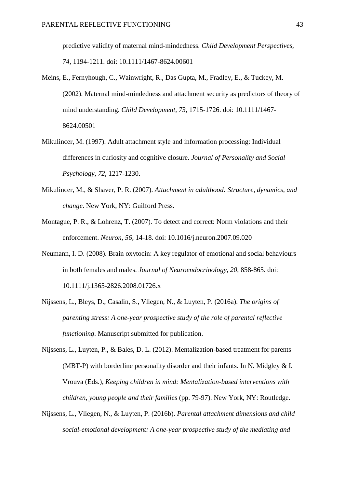predictive validity of maternal mind-mindedness. *Child Development Perspectives, 74*, 1194-1211. doi: 10.1111/1467-8624.00601

- <span id="page-42-0"></span>Meins, E., Fernyhough, C., Wainwright, R., Das Gupta, M., Fradley, E., & Tuckey, M. (2002). Maternal mind-mindedness and attachment security as predictors of theory of mind understanding. *Child Development, 73*, 1715-1726. doi: 10.1111/1467- 8624.00501
- <span id="page-42-6"></span>Mikulincer, M. (1997). Adult attachment style and information processing: Individual differences in curiosity and cognitive closure. *Journal of Personality and Social Psychology, 72*, 1217-1230.
- <span id="page-42-2"></span>Mikulincer, M., & Shaver, P. R. (2007). *Attachment in adulthood: Structure, dynamics, and change*. New York, NY: Guilford Press.
- <span id="page-42-3"></span>Montague, P. R., & Lohrenz, T. (2007). To detect and correct: Norm violations and their enforcement. *Neuron, 56*, 14-18. doi: 10.1016/j.neuron.2007.09.020
- <span id="page-42-1"></span>Neumann, I. D. (2008). Brain oxytocin: A key regulator of emotional and social behaviours in both females and males. *Journal of Neuroendocrinology, 20*, 858-865. doi: 10.1111/j.1365-2826.2008.01726.x
- <span id="page-42-4"></span>Nijssens, L., Bleys, D., Casalin, S., Vliegen, N., & Luyten, P. (2016a). *The origins of parenting stress: A one-year prospective study of the role of parental reflective functioning*. Manuscript submitted for publication.

<span id="page-42-7"></span>Nijssens, L., Luyten, P., & Bales, D. L. (2012). Mentalization-based treatment for parents (MBT-P) with borderline personality disorder and their infants. In N. Midgley & I. Vrouva (Eds.), *Keeping children in mind: Mentalization-based interventions with children, young people and their families* (pp. 79-97). New York, NY: Routledge.

<span id="page-42-5"></span>Nijssens, L., Vliegen, N., & Luyten, P. (2016b). *Parental attachment dimensions and child social-emotional development: A one-year prospective study of the mediating and*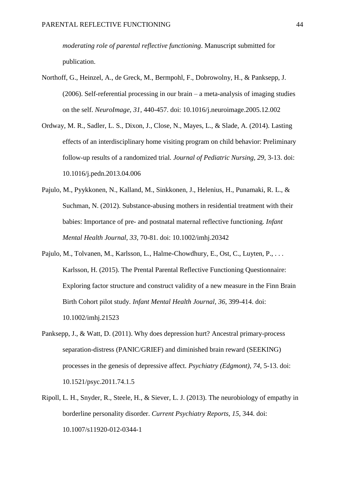*moderating role of parental reflective functioning*. Manuscript submitted for publication.

- <span id="page-43-1"></span>Northoff, G., Heinzel, A., de Greck, M., Bermpohl, F., Dobrowolny, H., & Panksepp, J. (2006). Self-referential processing in our brain – a meta-analysis of imaging studies on the self. *NeuroImage, 31*, 440-457. doi: 10.1016/j.neuroimage.2005.12.002
- <span id="page-43-4"></span>Ordway, M. R., Sadler, L. S., Dixon, J., Close, N., Mayes, L., & Slade, A. (2014). Lasting effects of an interdisciplinary home visiting program on child behavior: Preliminary follow-up results of a randomized trial. *Journal of Pediatric Nursing, 29*, 3-13. doi: 10.1016/j.pedn.2013.04.006
- <span id="page-43-5"></span>Pajulo, M., Pyykkonen, N., Kalland, M., Sinkkonen, J., Helenius, H., Punamaki, R. L., & Suchman, N. (2012). Substance-abusing mothers in residential treatment with their babies: Importance of pre- and postnatal maternal reflective functioning. *Infant Mental Health Journal, 33*, 70-81. doi: 10.1002/imhj.20342
- <span id="page-43-3"></span>Pajulo, M., Tolvanen, M., Karlsson, L., Halme-Chowdhury, E., Ost, C., Luyten, P., ... Karlsson, H. (2015). The Prental Parental Reflective Functioning Questionnaire: Exploring factor structure and construct validity of a new measure in the Finn Brain Birth Cohort pilot study. *Infant Mental Health Journal, 36*, 399-414. doi: 10.1002/imhj.21523
- <span id="page-43-0"></span>Panksepp, J., & Watt, D. (2011). Why does depression hurt? Ancestral primary-process separation-distress (PANIC/GRIEF) and diminished brain reward (SEEKING) processes in the genesis of depressive affect. *Psychiatry (Edgmont), 74*, 5-13. doi: 10.1521/psyc.2011.74.1.5
- <span id="page-43-2"></span>Ripoll, L. H., Snyder, R., Steele, H., & Siever, L. J. (2013). The neurobiology of empathy in borderline personality disorder. *Current Psychiatry Reports, 15*, 344. doi: 10.1007/s11920-012-0344-1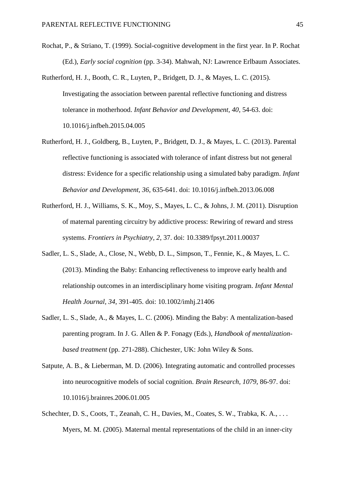- <span id="page-44-3"></span>Rochat, P., & Striano, T. (1999). Social-cognitive development in the first year. In P. Rochat (Ed.), *Early social cognition* (pp. 3-34). Mahwah, NJ: Lawrence Erlbaum Associates.
- <span id="page-44-4"></span>Rutherford, H. J., Booth, C. R., Luyten, P., Bridgett, D. J., & Mayes, L. C. (2015). Investigating the association between parental reflective functioning and distress tolerance in motherhood. *Infant Behavior and Development, 40*, 54-63. doi: 10.1016/j.infbeh.2015.04.005
- <span id="page-44-5"></span>Rutherford, H. J., Goldberg, B., Luyten, P., Bridgett, D. J., & Mayes, L. C. (2013). Parental reflective functioning is associated with tolerance of infant distress but not general distress: Evidence for a specific relationship using a simulated baby paradigm. *Infant Behavior and Development, 36*, 635-641. doi: 10.1016/j.infbeh.2013.06.008
- <span id="page-44-1"></span>Rutherford, H. J., Williams, S. K., Moy, S., Mayes, L. C., & Johns, J. M. (2011). Disruption of maternal parenting circuitry by addictive process: Rewiring of reward and stress systems. *Frontiers in Psychiatry, 2*, 37. doi: 10.3389/fpsyt.2011.00037
- <span id="page-44-7"></span>Sadler, L. S., Slade, A., Close, N., Webb, D. L., Simpson, T., Fennie, K., & Mayes, L. C. (2013). Minding the Baby: Enhancing reflectiveness to improve early health and relationship outcomes in an interdisciplinary home visiting program. *Infant Mental Health Journal, 34*, 391-405. doi: 10.1002/imhj.21406
- <span id="page-44-0"></span>Sadler, L. S., Slade, A., & Mayes, L. C. (2006). Minding the Baby: A mentalization-based parenting program. In J. G. Allen & P. Fonagy (Eds.), *Handbook of mentalizationbased treatment* (pp. 271-288). Chichester, UK: John Wiley & Sons.
- <span id="page-44-2"></span>Satpute, A. B., & Lieberman, M. D. (2006). Integrating automatic and controlled processes into neurocognitive models of social cognition. *Brain Research, 1079*, 86-97. doi: 10.1016/j.brainres.2006.01.005
- <span id="page-44-6"></span>Schechter, D. S., Coots, T., Zeanah, C. H., Davies, M., Coates, S. W., Trabka, K. A., ... Myers, M. M. (2005). Maternal mental representations of the child in an inner-city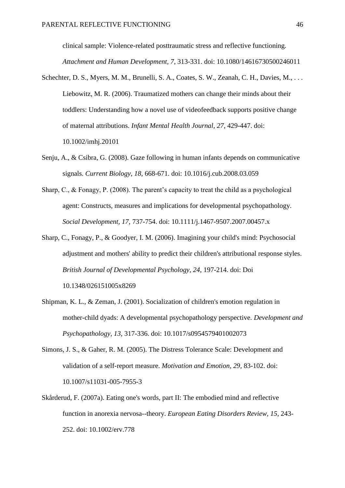clinical sample: Violence-related posttraumatic stress and reflective functioning. *Attachment and Human Development, 7*, 313-331. doi: 10.1080/14616730500246011

- <span id="page-45-5"></span>Schechter, D. S., Myers, M. M., Brunelli, S. A., Coates, S. W., Zeanah, C. H., Davies, M., ... Liebowitz, M. R. (2006). Traumatized mothers can change their minds about their toddlers: Understanding how a novel use of videofeedback supports positive change of maternal attributions. *Infant Mental Health Journal, 27*, 429-447. doi: 10.1002/imhj.20101
- <span id="page-45-6"></span>Senju, A., & Csibra, G. (2008). Gaze following in human infants depends on communicative signals. *Current Biology, 18*, 668-671. doi: 10.1016/j.cub.2008.03.059
- <span id="page-45-0"></span>Sharp, C., & Fonagy, P. (2008). The parent's capacity to treat the child as a psychological agent: Constructs, measures and implications for developmental psychopathology. *Social Development, 17*, 737-754. doi: 10.1111/j.1467-9507.2007.00457.x
- <span id="page-45-2"></span>Sharp, C., Fonagy, P., & Goodyer, I. M. (2006). Imagining your child's mind: Psychosocial adjustment and mothers' ability to predict their children's attributional response styles. *British Journal of Developmental Psychology, 24*, 197-214. doi: Doi 10.1348/026151005x8269
- <span id="page-45-4"></span>Shipman, K. L., & Zeman, J. (2001). Socialization of children's emotion regulation in mother-child dyads: A developmental psychopathology perspective. *Development and Psychopathology, 13*, 317-336. doi: 10.1017/s0954579401002073
- <span id="page-45-3"></span>Simons, J. S., & Gaher, R. M. (2005). The Distress Tolerance Scale: Development and validation of a self-report measure. *Motivation and Emotion, 29*, 83-102. doi: 10.1007/s11031-005-7955-3
- <span id="page-45-1"></span>Skårderud, F. (2007a). Eating one's words, part II: The embodied mind and reflective function in anorexia nervosa--theory. *European Eating Disorders Review, 15*, 243- 252. doi: 10.1002/erv.778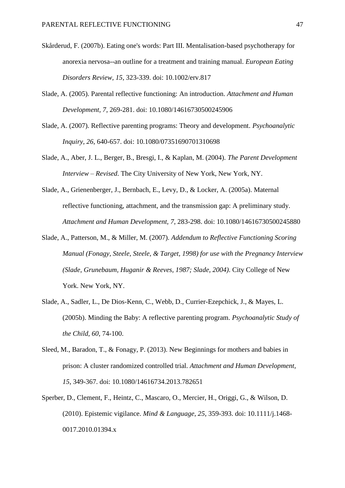- <span id="page-46-1"></span>Skårderud, F. (2007b). Eating one's words: Part III. Mentalisation-based psychotherapy for anorexia nervosa--an outline for a treatment and training manual. *European Eating Disorders Review, 15*, 323-339. doi: 10.1002/erv.817
- <span id="page-46-0"></span>Slade, A. (2005). Parental reflective functioning: An introduction. *Attachment and Human Development, 7*, 269-281. doi: 10.1080/14616730500245906
- <span id="page-46-6"></span>Slade, A. (2007). Reflective parenting programs: Theory and development. *Psychoanalytic Inquiry, 26*, 640-657. doi: 10.1080/07351690701310698
- <span id="page-46-2"></span>Slade, A., Aber, J. L., Berger, B., Bresgi, I., & Kaplan, M. (2004). *The Parent Development Interview – Revised*. The City University of New York, New York, NY.
- <span id="page-46-3"></span>Slade, A., Grienenberger, J., Bernbach, E., Levy, D., & Locker, A. (2005a). Maternal reflective functioning, attachment, and the transmission gap: A preliminary study. *Attachment and Human Development, 7*, 283-298. doi: 10.1080/14616730500245880
- <span id="page-46-4"></span>Slade, A., Patterson, M., & Miller, M. (2007). *Addendum to Reflective Functioning Scoring Manual (Fonagy, Steele, Steele, & Target, 1998) for use with the Pregnancy Interview (Slade, Grunebaum, Huganir & Reeves, 1987; Slade, 2004)*. City College of New York. New York, NY.
- <span id="page-46-7"></span>Slade, A., Sadler, L., De Dios-Kenn, C., Webb, D., Currier-Ezepchick, J., & Mayes, L. (2005b). Minding the Baby: A reflective parenting program. *Psychoanalytic Study of the Child, 60*, 74-100.
- <span id="page-46-8"></span>Sleed, M., Baradon, T., & Fonagy, P. (2013). New Beginnings for mothers and babies in prison: A cluster randomized controlled trial. *Attachment and Human Development, 15*, 349-367. doi: 10.1080/14616734.2013.782651
- <span id="page-46-5"></span>Sperber, D., Clement, F., Heintz, C., Mascaro, O., Mercier, H., Origgi, G., & Wilson, D. (2010). Epistemic vigilance. *Mind & Language, 25*, 359-393. doi: 10.1111/j.1468- 0017.2010.01394.x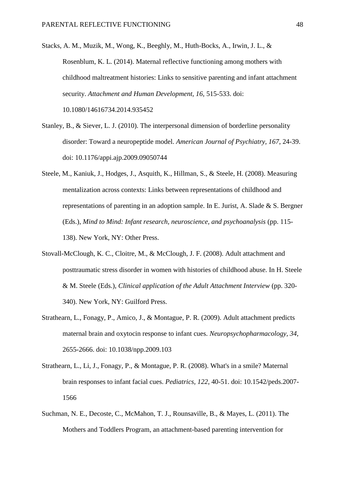<span id="page-47-6"></span>Stacks, A. M., Muzik, M., Wong, K., Beeghly, M., Huth-Bocks, A., Irwin, J. L., & Rosenblum, K. L. (2014). Maternal reflective functioning among mothers with childhood maltreatment histories: Links to sensitive parenting and infant attachment security. *Attachment and Human Development, 16*, 515-533. doi: 10.1080/14616734.2014.935452

<span id="page-47-4"></span>Stanley, B., & Siever, L. J. (2010). The interpersonal dimension of borderline personality disorder: Toward a neuropeptide model. *American Journal of Psychiatry, 167*, 24-39. doi: 10.1176/appi.ajp.2009.09050744

- <span id="page-47-1"></span>Steele, M., Kaniuk, J., Hodges, J., Asquith, K., Hillman, S., & Steele, H. (2008). Measuring mentalization across contexts: Links between representations of childhood and representations of parenting in an adoption sample. In E. Jurist, A. Slade & S. Bergner (Eds.), *Mind to Mind: Infant research, neuroscience, and psychoanalysis* (pp. 115- 138). New York, NY: Other Press.
- <span id="page-47-5"></span>Stovall-McClough, K. C., Cloitre, M., & McClough, J. F. (2008). Adult attachment and posttraumatic stress disorder in women with histories of childhood abuse. In H. Steele & M. Steele (Eds.), *Clinical application of the Adult Attachment Interview* (pp. 320- 340). New York, NY: Guilford Press.
- <span id="page-47-2"></span>Strathearn, L., Fonagy, P., Amico, J., & Montague, P. R. (2009). Adult attachment predicts maternal brain and oxytocin response to infant cues. *Neuropsychopharmacology, 34*, 2655-2666. doi: 10.1038/npp.2009.103
- <span id="page-47-3"></span>Strathearn, L., Li, J., Fonagy, P., & Montague, P. R. (2008). What's in a smile? Maternal brain responses to infant facial cues. *Pediatrics, 122*, 40-51. doi: 10.1542/peds.2007- 1566
- <span id="page-47-0"></span>Suchman, N. E., Decoste, C., McMahon, T. J., Rounsaville, B., & Mayes, L. (2011). The Mothers and Toddlers Program, an attachment-based parenting intervention for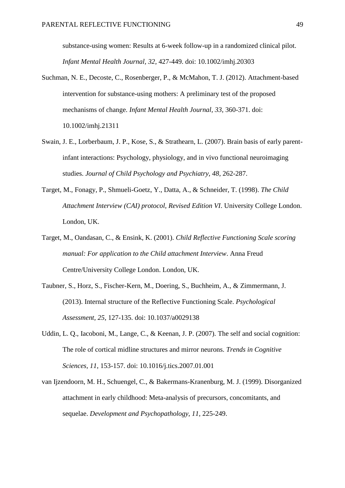substance-using women: Results at 6-week follow-up in a randomized clinical pilot. *Infant Mental Health Journal, 32*, 427-449. doi: 10.1002/imhj.20303

- <span id="page-48-6"></span>Suchman, N. E., Decoste, C., Rosenberger, P., & McMahon, T. J. (2012). Attachment-based intervention for substance-using mothers: A preliminary test of the proposed mechanisms of change. *Infant Mental Health Journal, 33*, 360-371. doi: 10.1002/imhj.21311
- <span id="page-48-0"></span>Swain, J. E., Lorberbaum, J. P., Kose, S., & Strathearn, L. (2007). Brain basis of early parentinfant interactions: Psychology, physiology, and in vivo functional neuroimaging studies. *Journal of Child Psychology and Psychiatry, 48*, 262-287.
- <span id="page-48-5"></span>Target, M., Fonagy, P., Shmueli-Goetz, Y., Datta, A., & Schneider, T. (1998). *The Child Attachment Interview (CAI) protocol, Revised Edition VI*. University College London. London, UK.
- <span id="page-48-4"></span>Target, M., Oandasan, C., & Ensink, K. (2001). *Child Reflective Functioning Scale scoring manual: For application to the Child attachment Interview*. Anna Freud Centre/University College London. London, UK.
- <span id="page-48-2"></span>Taubner, S., Horz, S., Fischer-Kern, M., Doering, S., Buchheim, A., & Zimmermann, J. (2013). Internal structure of the Reflective Functioning Scale. *Psychological Assessment, 25*, 127-135. doi: 10.1037/a0029138
- <span id="page-48-1"></span>Uddin, L. O., Iacoboni, M., Lange, C., & Keenan, J. P. (2007). The self and social cognition: The role of cortical midline structures and mirror neurons. *Trends in Cognitive Sciences, 11*, 153-157. doi: 10.1016/j.tics.2007.01.001
- <span id="page-48-3"></span>van Ijzendoorn, M. H., Schuengel, C., & Bakermans-Kranenburg, M. J. (1999). Disorganized attachment in early childhood: Meta-analysis of precursors, concomitants, and sequelae. *Development and Psychopathology, 11*, 225-249.